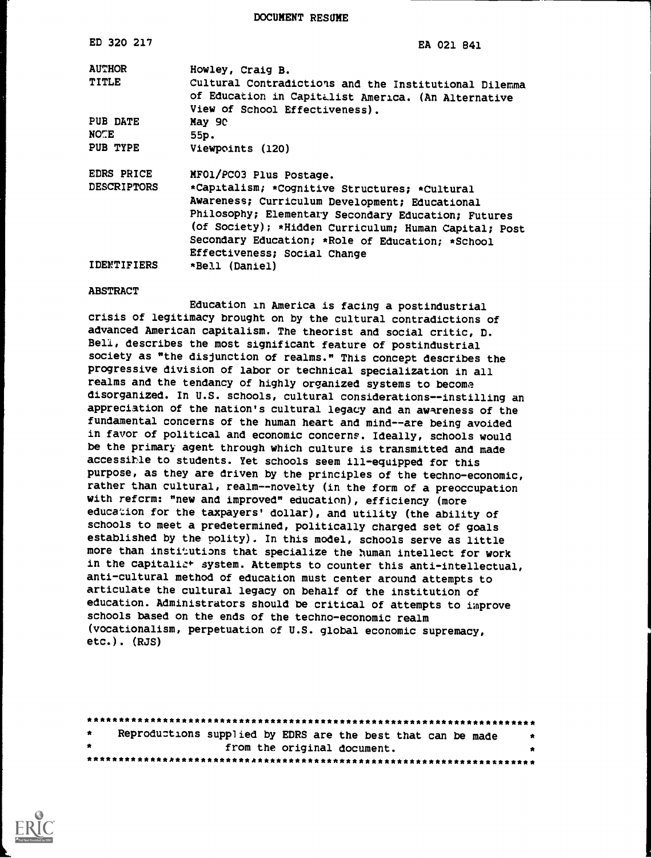DOCUMENT RESUME

| ED 320 217         | EA 021 841                                                                                                                                     |  |  |  |  |  |  |
|--------------------|------------------------------------------------------------------------------------------------------------------------------------------------|--|--|--|--|--|--|
| <b>AUTHOR</b>      | Howley, Craig B.                                                                                                                               |  |  |  |  |  |  |
| <b>TITLE</b>       | Cultural Contradictions and the Institutional Dilemma<br>of Education in Capitalist America. (An Alternative<br>View of School Effectiveness). |  |  |  |  |  |  |
| PUB DATE           | May 90                                                                                                                                         |  |  |  |  |  |  |
| <b>NOTE</b>        | 55p.                                                                                                                                           |  |  |  |  |  |  |
| PUB TYPE           | Viewpoints (120)                                                                                                                               |  |  |  |  |  |  |
| EDRS PRICE         | MF01/PC03 Plus Postage.                                                                                                                        |  |  |  |  |  |  |
| <b>DESCRIPTORS</b> | *Capitalism; *Cognitive Structures; *Cultural                                                                                                  |  |  |  |  |  |  |
|                    | Awareness; Curriculum Development; Educational                                                                                                 |  |  |  |  |  |  |
|                    | Philosophy; Elementary Secondary Education; Futures                                                                                            |  |  |  |  |  |  |
|                    | (of Society); *Hidden Curriculum; Human Capital; Post                                                                                          |  |  |  |  |  |  |
|                    | Secondary Education; *Role of Education; *School                                                                                               |  |  |  |  |  |  |
|                    | Effectiveness; Social Change                                                                                                                   |  |  |  |  |  |  |
| <b>IDENTIFIERS</b> | *Bell (Daniel)                                                                                                                                 |  |  |  |  |  |  |
| <b>ABSTRACT</b>    |                                                                                                                                                |  |  |  |  |  |  |

### Education in America is facing a postindustrial crisis of legitimacy brought on by the cultural contradictions of advanced American capitalism. The theorist and social critic, D. Bell, describes the most significant feature of postindustrial society as "the disjunction of realms." This concept describes the progressive division of labor or technical specialization in all realms and the tendancy of highly organized systems to become disorganized. In U.S. schools, cultural considerations--instilling an appreciation of the nation's cultural legacy and an awareness of the fundamental concerns of the human heart and mind--are being avoided in favor of political and economic concerns. Ideally, schools would be the primary agent through which culture is transmitted and made accessible to students. Yet schools seem ill-equipped for this purpose, as they are driven by the principles of the techno-economic, rather than cultural, realm--novelty (in the form of a preoccupation with refcrm: "new and improved" education), efficiency (more education for the taxpayers' dollar), and utility (the ability of schools to meet a predetermined, politically charged set of goals established by the polity). In this model, schools serve as little more than institutions that specialize the human intellect for work in the capitalist system. Attempts to counter this anti-intellectual, anti-cultural method of education must center around attempts to articulate the cultural legacy on behalf of the institution of education. Administrators should be critical of attempts to improve schools based on the ends of the techno-economic realm (vocationalism, perpetuation of U.S. global economic supremacy, etc.). (RJS)

| $\star$   | Reproductions supplied by EDRS are the best that can be made |                             |  |  |  | $\bullet$ |
|-----------|--------------------------------------------------------------|-----------------------------|--|--|--|-----------|
| $\bullet$ |                                                              | from the original document. |  |  |  |           |
|           |                                                              |                             |  |  |  |           |

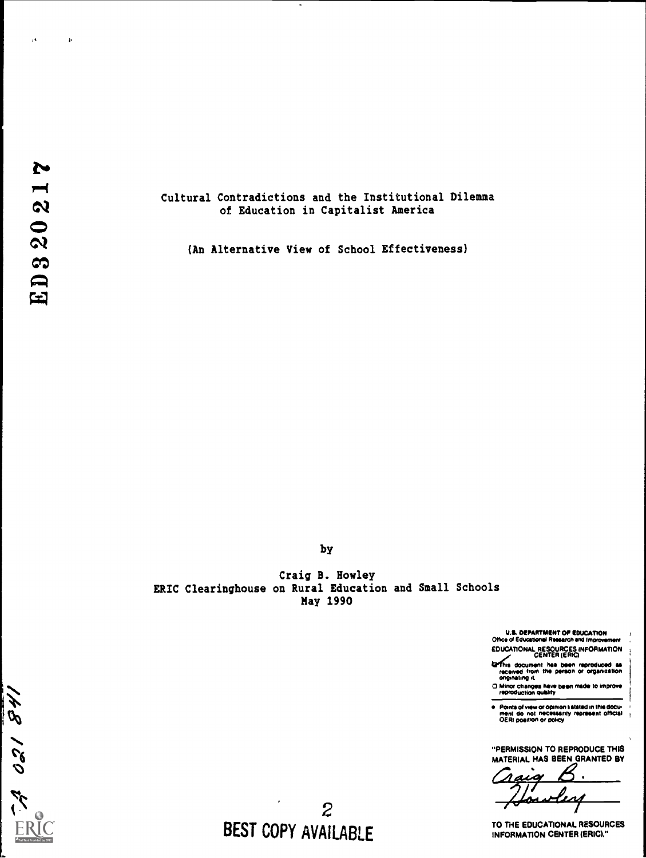

ä.

 $\boldsymbol{\nu}$ 

### Cultural Contradictions and the Institutional Dilemma of Education in Capitalist America

(An Alternative View of School Effectiveness)

by

Craig B. Howley ERIC Clearinghouse on Rural Education and Small Schools May 1990

U.E. DEPARTMENT OP EDUCATION Office of Educational Roswell and Improvement

EDUCATIONAL RESOURCES INFORMATION CENTER (ERIC) &rt. document Rea been reproduced es received from the person or orgamzation originating IL

 $\Box$  Minor changes have been made to improve

Pointa of view or opinion satated in this docu-<br>ment :do .not :necessarity .represent official<br>OERI position or policy

"PERMISSION TO REPRODUCE THIS MATERIAL HAS BEEN GRANTED BY

 $\bullet$ ia in

TO THE EDUCATIONAL RESOURCES INFORMATION CENTER (ERIC)."

2 BEST COPY AVAILABLE

N 021841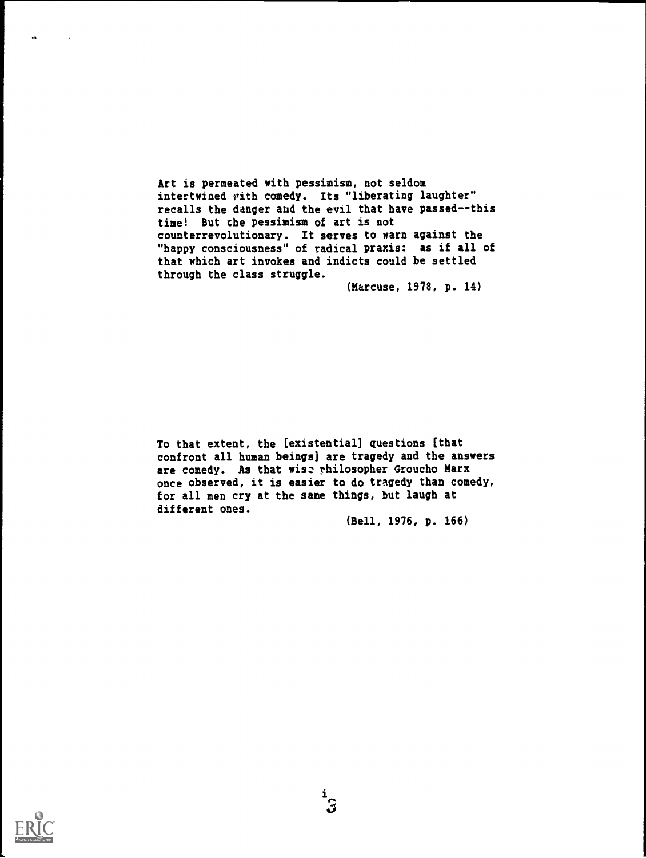Art is permeated with pessimism, not seldom intertwined with comedy. Its "liberating laughter" recalls the danger and the evil that have passed--this time! But the pessimism of art is not counterrevolutionary. It serves to warn against the "happy consciousness" of radical praxis: as if all of that which art invokes and indicts could be settled through the class struggle.

(Marcuse, 1978, p. 14)

To that extent, the [existential] questions [that confront all human beings] are tragedy and the answers are comedy. As that wise philosopher Groucho Marx once observed, it is easier to do tragedy than comedy, for all men cry at the same things, but laugh at different ones.

(Bell, 1976, p. 166)

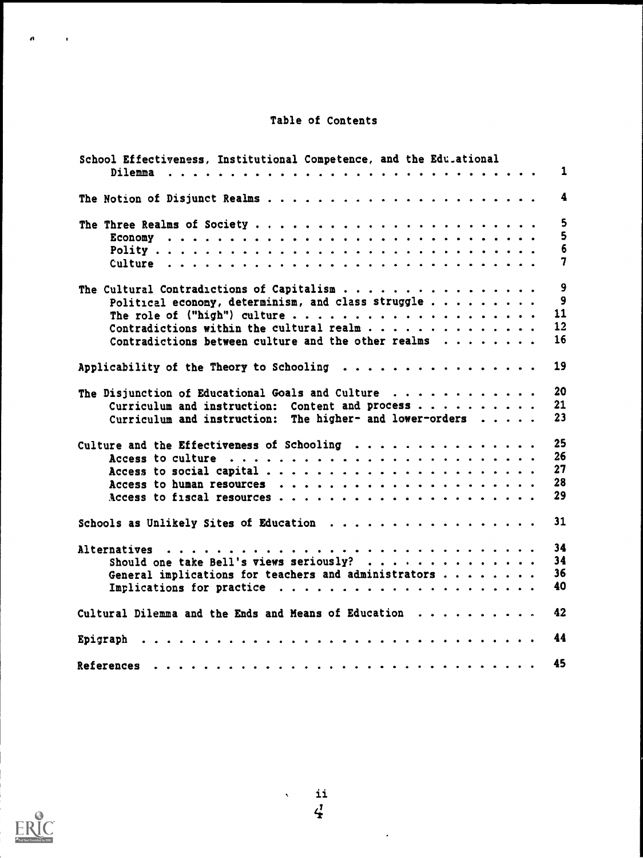# Table of Contents

| School Effectiveness, Institutional Competence, and the Edu.ational |  |  |                |
|---------------------------------------------------------------------|--|--|----------------|
|                                                                     |  |  | 1              |
| The Notion of Disjunct Realms                                       |  |  | 4              |
|                                                                     |  |  | 5              |
|                                                                     |  |  | 5              |
|                                                                     |  |  | 6              |
|                                                                     |  |  | 7              |
| The Cultural Contradictions of Capitalism $\ldots$                  |  |  | 9              |
| Political economy, determinism, and class struggle                  |  |  | $\overline{9}$ |
|                                                                     |  |  | 11             |
| Contradictions within the cultural realm $\cdots$                   |  |  | 12             |
| Contradictions between culture and the other realms $\ldots \ldots$ |  |  | 16             |
|                                                                     |  |  |                |
| Applicability of the Theory to Schooling                            |  |  | 19             |
| The Disjunction of Educational Goals and Culture                    |  |  | 20             |
| Curriculum and instruction: Content and process                     |  |  | 21             |
| Curriculum and instruction: The higher- and lower-orders $\ldots$ . |  |  | 23             |
|                                                                     |  |  | 25             |
| Culture and the Effectiveness of Schooling                          |  |  | 26             |
|                                                                     |  |  | 27             |
|                                                                     |  |  |                |
|                                                                     |  |  | 28             |
|                                                                     |  |  | 29             |
|                                                                     |  |  | 31             |
|                                                                     |  |  | 34             |
|                                                                     |  |  | 34             |
| General implications for teachers and administrators                |  |  | 36             |
| Implications for practice                                           |  |  | 40             |
|                                                                     |  |  |                |
| Cultural Dilemma and the Ends and Means of Education                |  |  | 42             |
|                                                                     |  |  | 44             |
|                                                                     |  |  | 45             |



 $\theta$  for  $\theta$  ,  $\theta$ 

 $\sim$   $\sim$ 

 $\infty$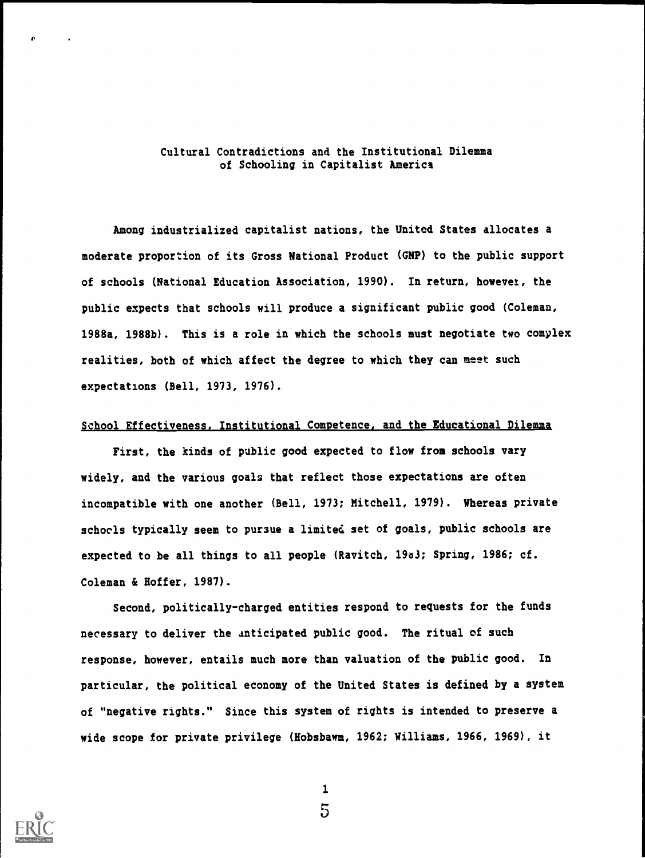### Cultural Contradictions and the Institutional Dilemma of Schooling in Capitalist America

Among industrialized capitalist nations, the United States allocates a moderate proportion of its Gross National Product (GNP) to the public support of schools (National Education Association, 1990). In return, however, the public expects that schools will produce a significant public good (Coleman, 1988a, 1988b). This is a role in which the schools must negotiate two complex realities, both of which affect the degree to which they can meet such expectations (Bell, 1973, 1976).

## School Effectiveness, Institutional Competence, and the Educational Dilemma

First, the kinds of public good expected to flow from schools vary widely, and the various goals that reflect those expectations are often incompatible with one another (Bell, 1973; Mitchell, 1979). Whereas private schools typically seem to pursue a limited set of goals, public schools are expected to be all things to all people (Ravitch, 19a3; Spring, 1986; cf. Coleman & Hoffer, 1987).

Second, politically-charged entities respond to requests for the funds necessary to deliver the anticipated public good. The ritual of such response, however, entails much more than valuation of the public good. In particular, the political economy of the United States is defined by a system of "negative rights." Since this system of rights is intended to preserve a wide scope for private privilege (Hobsbawm, 1962; Williams, 1966, 1969), it

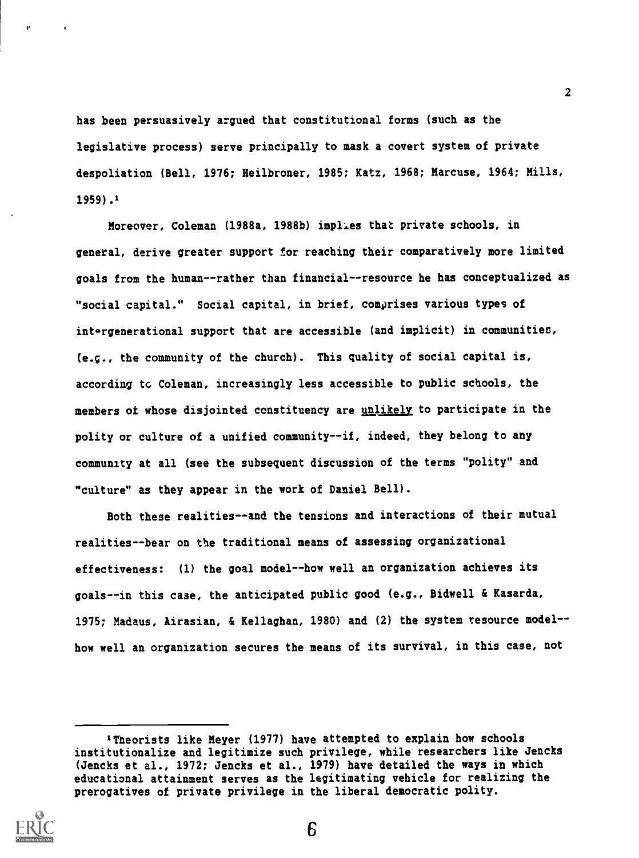has been persuasively argued that constitutional forms (such as the legislative process) serve principally to mask a covert system of private despoliation (Bell, 1976; Heilbroner, 1985; Katz, 1968; Marcuse, 1964; Mills, 1959) .1

Moreover, Coleman (1988a, 1988b) implies that private schools, in general, derive greater support for reaching their comparatively more limited goals from the human--rather than financial--resource he has conceptualized as "social capital." Social capital, in brief, comprises various types of intergenerational support that are accessible (and implicit) in communities, (e.g., the community of the church). This quality of social capital is, according to Coleman, increasingly less accessible to public schools, the members of whose disjointed constituency are unlikely to participate in the polity or culture of a unified community--if, indeed, they belong to any community at all (see the subsequent discussion of the terms "polity" and "culture" as they appear in the work of Daniel Bell).

Both these realities--and the tensions and interactions of their mutual realities--bear on the traditional means of assessing organizational effectiveness: (1) the goal model--how well an organization achieves its goals--in this case, the anticipated public good (e.g., Bidwell & Kasarda, 1975; Madaus, Airasian, & Kellaghan, 1980) and (2) the system resource model-how well an organization secures the means of its survival, in this case, not

<sup>&#</sup>x27;Theorists like Meyer (1977) have attempted to explain how schools institutionalize and legitimize such privilege, while researchers like Jencks (Jencks et al., 1972; Jencks et al., 1979) have detailed the ways in which educational attainment serves as the legitimating vehicle for realizing the prerogatives of private privilege in the liberal democratic polity.

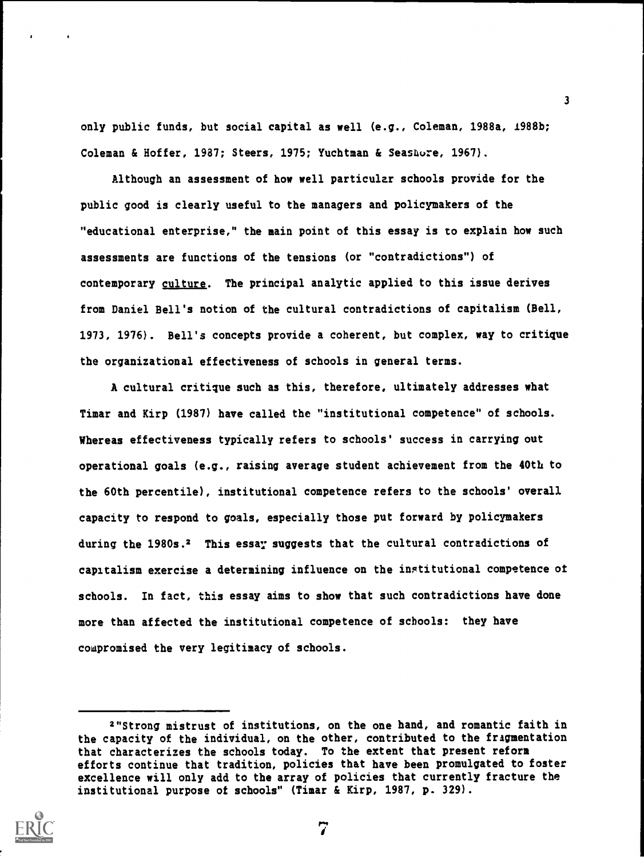only public funds, but social capital as well (e.g., Coleman, 1988a, 1988b; Coleman & Hoffer, 1987; Steers, 1975; Yuchtman & Seashore, 1967).

Although an assessment of how well particular schools provide for the public good is clearly useful to the managers and policymakers of the "educational enterprise," the main point of this essay is to explain how such assessments are functions of the tensions (or "contradictions") of contemporary culture. The principal analytic applied to this issue derives from Daniel Bell's notion of the cultural contradictions of capitalism (Bell, 1973, 1976). Bell's concepts provide a coherent, but complex, way to critique the organizational effectiveness of schools in general terms.

A cultural critique such as this, therefore, ultimately addresses what Timar and Kirp (1987) have called the "institutional competence" of schools. Whereas effectiveness typically refers to schools' success in carrying out operational goals (e.g., raising average student achievement from the 40th to the 60th percentile), institutional competence refers to the schools' overall capacity to respond to goals, especially those put forward by policymakers during the 1980s.<sup>2</sup> This essay suggests that the cultural contradictions of capitalism exercise a determining influence on the institutional competence of schools. In fact, this essay aims to show that such contradictions have done more than affected the institutional competence of schools: they have cowpromised the very legitimacy of schools.

<sup>2&</sup>quot;Strong mistrust of institutions, on the one hand, and romantic faith in the capacity of the individual, on the other, contributed to the fragmentation that characterizes the schools today. To the extent that present reform efforts continue that tradition, policies that have been promulgated to foster excellence will only add to the array of policies that currently fracture the institutional purpose of schools" (Timar & Kirp, 1987, p. 329).



7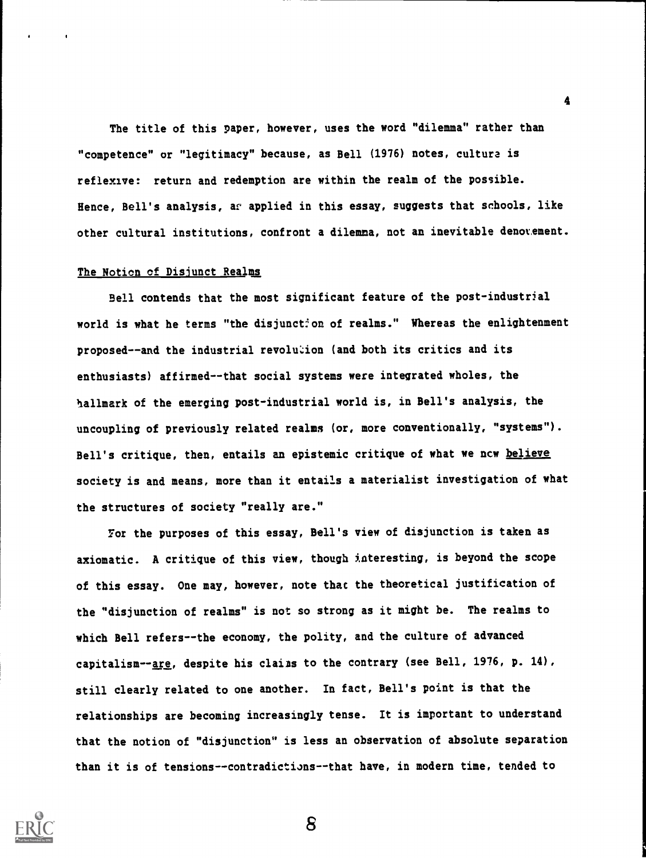The title of this paper, however, uses the word "dilemma" rather than "competence" or "legitimacy" because, as Bell (1976) notes, culture is reflexive: return and redemption are within the realm of the possible. Hence, Bell's analysis, ar applied in this essay, suggests that schools, like other cultural institutions, confront a dilemma, not an inevitable denotement.

#### The Notion cf Disjunct Realms

Bell contends that the most significant feature of the post-industrial world is what he terms "the disjunction of realms." Whereas the enlightenment proposed--and the industrial revolu'don (and both its critics and its enthusiasts) affirmed--that social systems were integrated wholes, the hallmark of the emerging post-industrial world is, in Bell's analysis, the uncoupling of previously related realms (or, more conventionally, "systems"). Bell's critique, then, entails an epistemic critique of what we ncw believe society is and means, more than it entails a materialist investigation of what the structures of society "really are."

For the purposes of this essay, Bell's view of disjunction is taken as axiomatic. A critique of this view, though interesting, is beyond the scope of this essay. One may, however, note that the theoretical justification of the "disjunction of realms" is not so strong as it might be. The realms to which Bell refers--the economy, the polity, and the culture of advanced capitalism--are, despite his clains to the contrary (see Bell, 1976, p. 14), still clearly related to one another. In fact, Bell's point is that the relationships are becoming increasingly tense. It is important to understand that the notion of "disjunction" is less an observation of absolute separation than it is of tensions--contradictions--that have, in modern time, tended to



8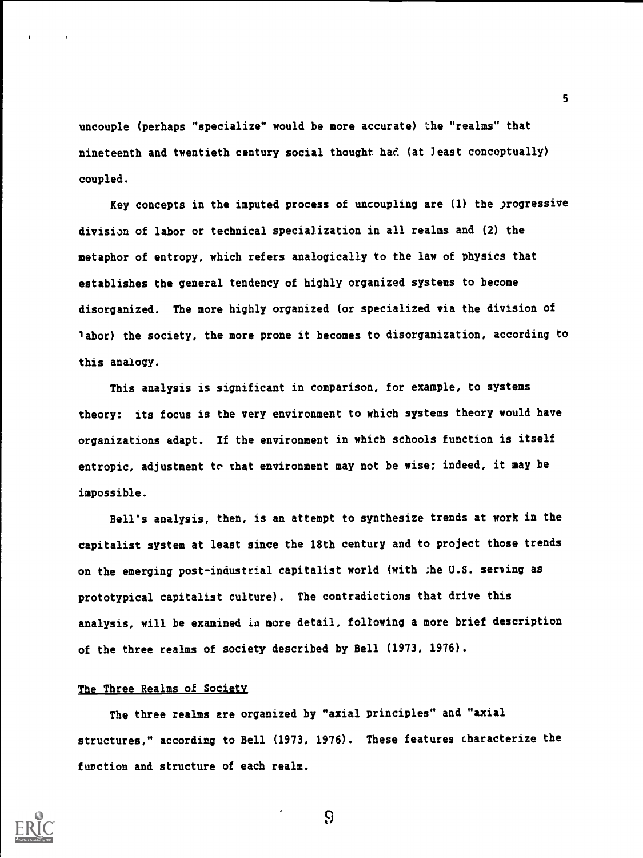uncouple (perhaps "specialize" would be more accurate) the "realms" that nineteenth and twentieth century social thought had (at least conceptually) coupled.

Key concepts in the imputed process of uncoupling are (1) the progressive division of labor or technical specialization in all realms and (2) the metaphor of entropy, which refers analogically to the law of physics that establishes the general tendency of highly organized systems to become disorganized. The more highly organized (or specialized via the division of labor) the society, the more prone it becomes to disorganization, according to this analogy.

This analysis is significant in comparison, for example, to systems theory: its focus is the very environment to which systems theory would have organizations adapt. If the environment in which schools function is itself entropic, adjustment to that environment may not be wise; indeed, it may be impossible.

Bell's analysis, then, is an attempt to synthesize trends at work in the capitalist system at least since the 18th century and to project those trends on the emerging post-industrial capitalist world (with :he U.S. serving as prototypical capitalist culture). The contradictions that drive this analysis, will be examined in more detail, following a more brief description of the three realms of society described by Bell (1973, 1976).

#### The Three Realms of Society

The three realms are organized by "axial principles" and "axial structures," according to Bell (1973, 1976). These features characterize the function and structure of each realm.



9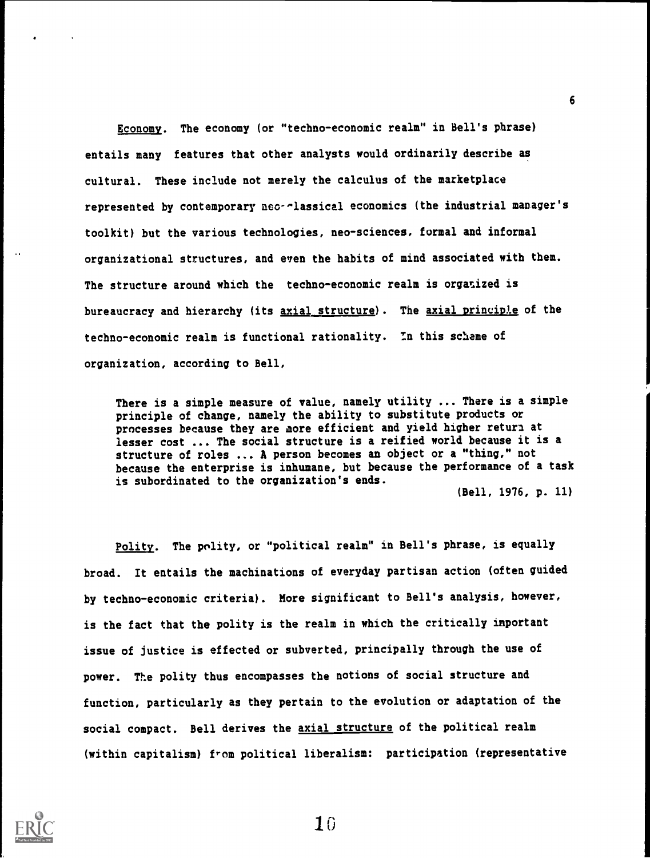Economy. The economy (or "techno-economic realm" in Bell's phrase) entails many features that other analysts would ordinarily describe as cultural. These include not merely the calculus of the marketplace represented by contemporary nco--lassical economics (the industrial manager's toolkit) but the various technologies, neo-sciences, formal and informal organizational structures, and even the habits of mind associated with them. The structure around which the techno-economic realm is organized is bureaucracy and hierarchy (its axial structure). The axial principle of the techno-economic realm is functional rationality. In this scheme of organization, according to Bell,

There is a simple measure of value, namely utility ... There is a simple principle of change, namely the ability to substitute products or processes because they are more efficient and yield higher return at lesser cost ... The social structure is a reified world because it is a structure of roles ... A person becomes an object or a "thing," not because the enterprise is inhumane, but because the performance of a task is subordinated to the organization's ends.

(Bell, 1976, p. 11)

Polity. The polity, or "political realm" in Bell's phrase, is equally broad. It entails the machinations of everyday partisan action (often guided by techno-economic criteria). More significant to Bell's analysis, however, is the fact that the polity is the realm in which the critically important issue of justice is effected or subverted, principally through the use of power. The polity thus encompasses the notions of social structure and function, particularly as they pertain to the evolution or adaptation of the social compact. Bell derives the axial structure of the political realm (within capitalism) from political liberalism: participation (representative



10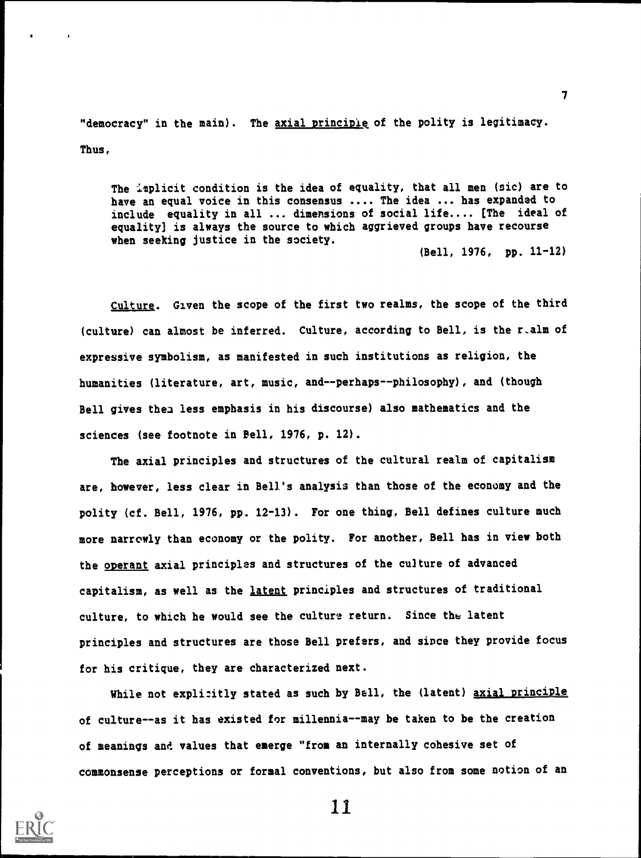"democracy" in the main). The axial principle of the polity is legitimacy. Thus,

The implicit condition is the idea of equality, that all men (sic) are to have an equal voice in this consensus .... The idea ... has expanded to include equality in all ... dimensions of social life.... [The ideal of equality] is always the source to which aggrieved groups have recourse when seeking justice in the society.

(Bell, 1976, pp. 11-12)

Culture. Given the scope of the first two realms, the scope of the third (culture) can almost be inferred. Culture, according to Bell, is the r\_a1m of expressive symbolism, as manifested in such institutions as religion, the humanities (literature, art, music, and--perhaps--philosophy), and (though Bell gives then less emphasis in his discourse) also mathematics and the sciences (see footnote in Bell, 1976, p. 12).

The axial principles and structures of the cultural realm of capitalism are, however, less clear in Bell's analysis than those of the economy and the polity (cf. Bell, 1976, pp. 12-13). For one thing, Bell defines culture much more narrowly than economy or the polity. For another, Bell has in view both the operant axial principles and structures of the culture of advanced capitalism, as well as the latent principles and structures of traditional culture, to which he would see the culture return. Since the latent principles and structures are those Bell prefers, and since they provide focus for his critique, they are characterized next.

While not explicitly stated as such by Bell, the (latent) axial principle of culture--as it has existed for millennia--may be taken to be the creation of meanings and values that emerge "from an internally cohesive set of commonsense perceptions or formal conventions, but also from some notion of an



11

 $\mathbf{r}$  and  $\mathbf{r}$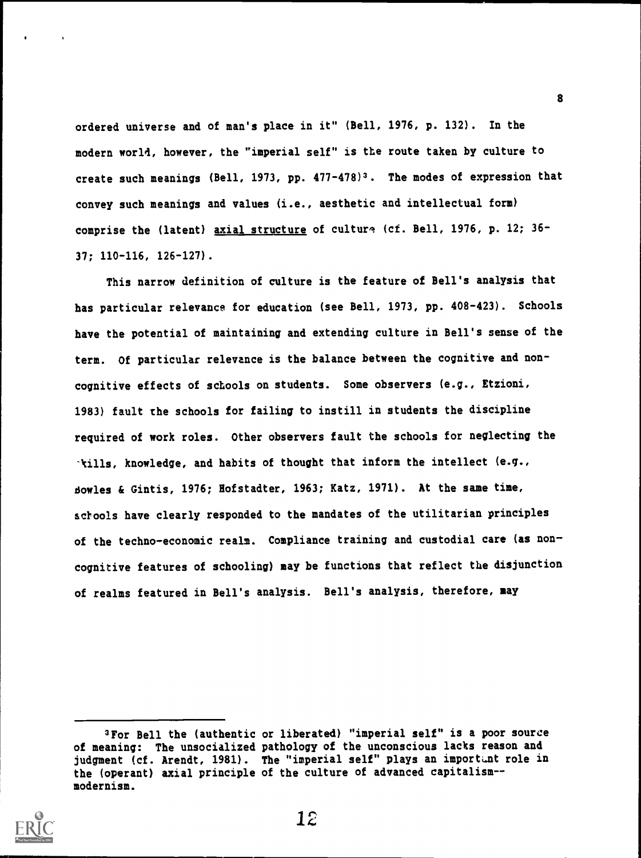ordered universe and of man's place in it" (Hell, 1976, p. 132). In the modern world, however, the "imperial self" is the route taken by culture to create such meanings (Bell, 1973, pp. 477-478)3. The modes of expression that convey such meanings and values (i.e., aesthetic and intellectual form) comprise the (latent) axial structure of culture (cf. Bell, 1976, p. 12; 36-37; 110-116, 126-127).

This narrow definition of culture is the feature of Bell's analysis that has particular relevance for education (see Bell, 1973, pp. 408-423). Schools have the potential of maintaining and extending culture in Bell's sense of the term. Of particular relevance is the balance between the cognitive and noncognitive effects of schools on students. Some observers (e.g., Etzioni, 1983) fault the schools for failing to instill in students the discipline required of work roles. Other observers fault the schools for neglecting the -kills, knowledge, and habits of thought that inform the intellect (e.g., dowles & Gintis, 1976; Hofstadter, 1963; Katz, 1971). At the same time, schools have clearly responded to the mandates of the utilitarian principles of the techno-economic realm. Compliance training and custodial care (as noncognitive features of schooling) may be functions that reflect the disjunction of realms featured in Bell's analysis. Bell's analysis, therefore, may

<sup>3</sup>For Hell the (authentic or liberated) "imperial self" is a poor source of meaning: The unsocialized pathology of the unconscious lacks reason and judgment (cf. Arendt, 1981). The "imperial self" plays an important role in the (operant) axial principle of the culture of advanced capitalism-modernism.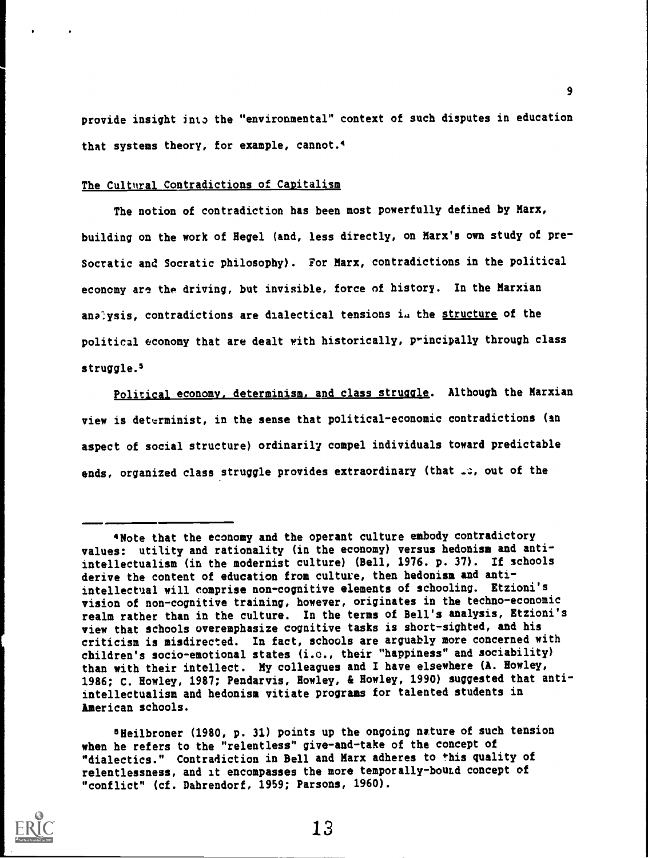provide insight into the "environmental" context of such disputes in education that systems theory, for example, cannot.4

#### The Cultural Contradictions of Capitalism

The notion of contradiction has been most powerfully defined by Marx, building on the work of Hegel (and, less directly, on Marx's own study of pre-Socratic and Socratic philosophy). For Marx, contradictions in the political economy are the driving, but invisible, force of history. In the Marxian analysis, contradictions are dialectical tensions in the structure of the political economy that are dealt with historically, principally through class struggle.<sup>5</sup>

Political economy, determinism, and class struggle. Although the Marxian view is determinist, in the sense that political-economic contradictions (an aspect of social structure) ordinarily compel individuals toward predictable ends, organized class struggle provides extraordinary (that  $\Box$ ; out of the

°Heilbroner (1980, p. 31) points up the ongoing nature of such tension when he refers to the "relentless" give-and-take of the concept of "dialectics." Contradiction in Bell and Marx adheres to this quality of relentlessness, and it encompasses the more temporally-bouLd concept of "conflict" (cf. Dahrendorf, 1959; Parsons, 1960).



<sup>4</sup>Note that the economy and the operant culture embody contradictory values: utility and rationality (in the economy) versus hedonism and antiintellectualism (in the modernist culture) (Bell, 1976. p. 37). If schools derive the content of education from culture, then hedonism and antiintellectual will comprise non-cognitive elements of schooling. Etzioni's vision of non-cognitive training, however, originates in the techno-economic realm rather than in the culture. In the terms of Bell's analysis, Etzioni's view that schools overemphasize cognitive tasks is short-sighted, and his criticism is misdirected. In fact, schools are arguably more concerned with children's socio-emotional states (i.e., their "happiness" and sociability) than with their intellect. My colleagues and I have elsewhere (A. Howley, 1986; C. Howley, 1987; Pendarvis, Howley, & Howley, 1990) suggested that antiintellectualism and hedonism vitiate programs for talented students in American schools.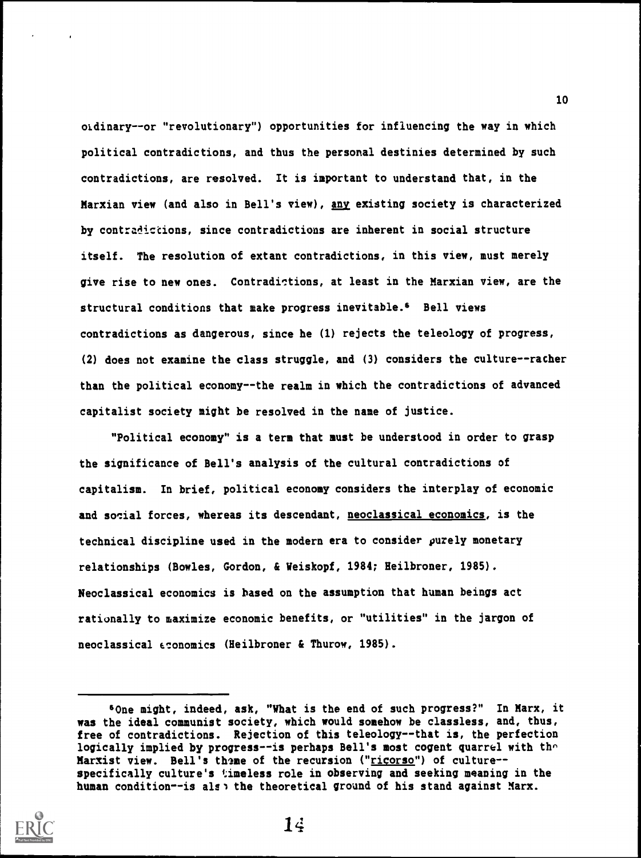ordinary--or "revolutionary") opportunities for influencing the way in which political contradictions, and thus the personal destinies determined by such contradictions, are resolved. It is important to understand that, in the Marxian view (and also in Bell's view), any existing society is characterized by contradictions, since contradictions are inherent in social structure itself. The resolution of extant contradictions, in this view, must merely give rise to new ones. Contradictions, at least in the Marxian view, are the structural conditions that make progress inevitable.' Bell views contradictions as dangerous, since he (1) rejects the teleology of progress, (2) does not examine the class struggle, and (3) considers the culture--racher than the political economy--the realm in which the contradictions of advanced capitalist society might be resolved in the name of justice.

"Political economy" is a term that must be understood in order to grasp the significance of Bell's analysis of the cultural contradictions of capitalism. In brief, political economy considers the interplay of economic and social forces, whereas its descendant, neoclassical economics, is the technical discipline used in the modern era to consider purely monetary relationships (Bowles, Gordon, & Weiskopf, 1984; Heilbroner, 1985). Neoclassical economics is based on the assumption that human beings act rationally to maximize economic benefits, or "utilities" in the jargon of neoclassical economics (Heilbroner & Thurow, 1985).

<sup>&#</sup>x27;One might, indeed, ask, "What is the end of such progress?" In Marx, it was the ideal communist society, which would somehow be classless, and, thus, free of contradictions. Rejection of this teleology--that is, the perfection logically implied by progress--is perhaps Bell's most cogent quarrel with the Marxist view. Bell's theme of the recursion ("ricorso") of culture-specifically culture's timeless role in observing and seeking meaning in the human condition--is alse the theoretical ground of his stand against Marx.

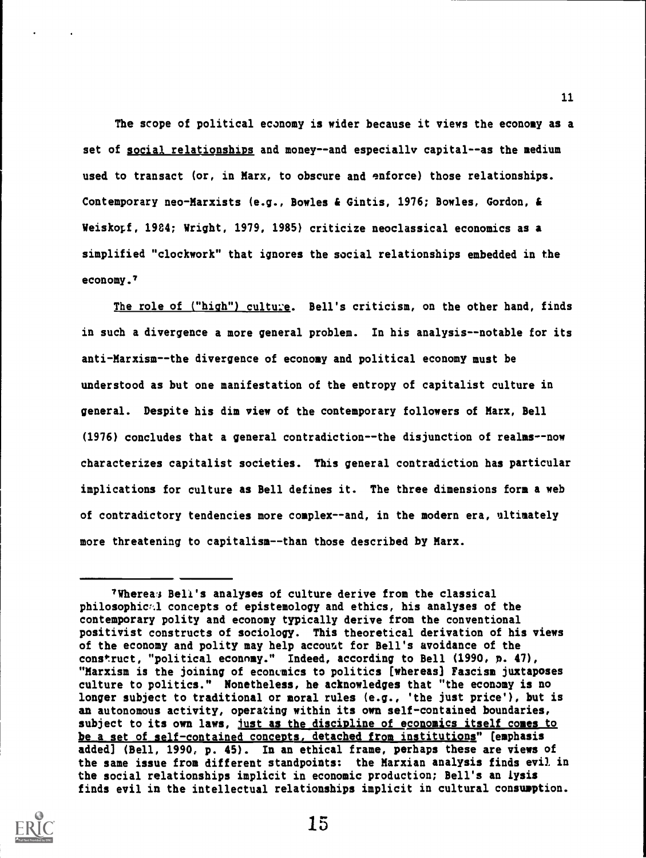The scope of political economy is wider because it views the economy as a set of social relationships and money--and especially capital--as the medium used to transact (or, in Marx, to obscure and enforce) those relationships. Contemporary neo-Marxists (e.g., Bowles & Gintis, 1976; Bowles, Gordon, & Weiskopf, 1984; Wright, 1979, 1985) criticize neoclassical economics as a simplified "clockwork" that ignores the social relationships embedded in the economy.?

11

The role of ("high") culture. Bell's criticism, on the other hand, finds in such a divergence a more general problem. In his analysis--notable for its anti-Marxism--the divergence of economy and political economy must be understood as but one manifestation of the entropy of capitalist culture in general. Despite his dim view of the contemporary followers of Marx, Bell (1976) concludes that a general contradiction--the disjunction of realms--now characterizes capitalist societies. This general contradiction has particular implications for culture as Bell defines it. The three dimensions fora a web of contradictory tendencies more complex--and, in the modern era, ultimately more threatening to capitalism--than those described by Marx.

<sup>?</sup>Whereas Bell's analyses of culture derive from the classical philosophic%1 concepts of epistemology and ethics, his analyses of the contemporary polity and economy typically derive from the conventional positivist constructs of sociology. This theoretical derivation of his views of the economy and polity may help account for Bell's avoidance of the construct, "political econnmy." Indeed, according to Bell (1990, p. 47), "Marxism is the joining of economics to politics [whereas] Fascism juxtaposes culture to politics." Nonetheless, he acknowledges that "the economy is no longer subject to traditional or moral rules (e.g., 'the just price'), but is an autonomous activity, operating within its own self-contained boundaries, subject to its own laws, just as the discipline of economics itself comes to be a set of self-contained concepts, detached from institutions" [emphasis added] (Bell, 1990, p. 45). In an ethical frame, perhaps these are views of the same issue from different standpoints: the Marxian analysis finds evil in the social relationships implicit in economic production; Bell's an lysis finds evil in the intellectual relationships implicit in cultural consumption.

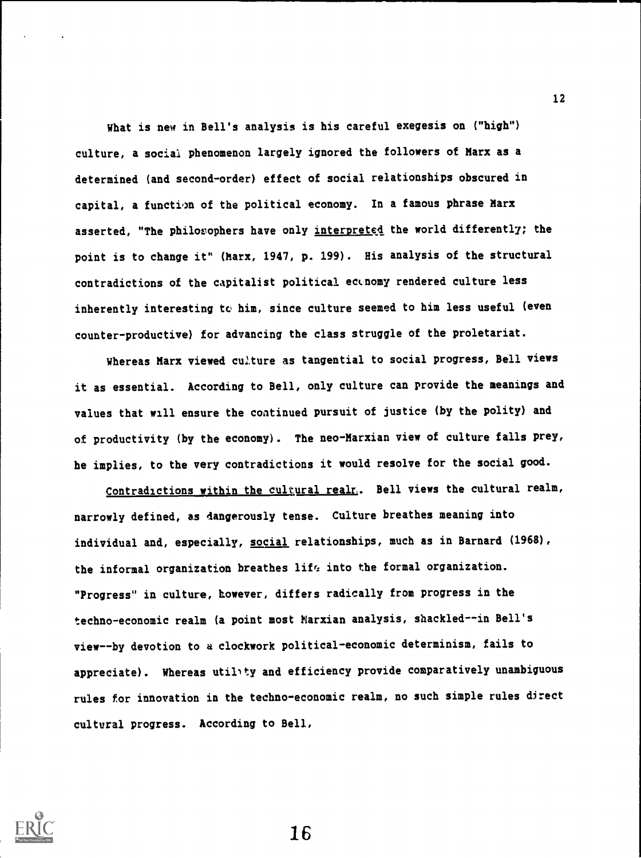What is new in Bell's analysis is his careful exegesis on ("high") culture, a social phenomenon largely ignored the followers of Marx as a determined (and second-order) effect of social relationships obscured in capital, a function of the political economy. In a famous phrase Marx asserted, "The philosophers have only interpreted the world differently; the point is to change it" (Marx, 1947, p. 199). His analysis of the structural contradictions of the capitalist political economy rendered culture less inherently interesting to him, since culture seemed to him less useful (even counter-productive) for advancing the class struggle of the proletariat.

Whereas Marx viewed culture as tangential to social progress, Bell views it as essential. According to Bell, only culture can provide the meanings and values that will ensure the continued pursuit of justice (by the polity) and of productivity (by the economy). The neo-Marxian view of culture falls prey, he implies, to the very contradictions it would resolve for the social good.

Contradictions within the cultural realm. Bell views the cultural realm, narrowly defined, as dangerously tense. Culture breathes meaning into individual and, especially, social relationships, much as in Barnard (1968), the informal organization breathes life into the formal organization. "Progress" in culture, however, differs radically from progress in the techno-economic realm (a point most Marxian analysis, shackled--in Bell's view--by devotion to a clockwork political-economic determinism, fails to appreciate). Whereas utility and efficiency provide comparatively unambiguous rules for innovation in the techno-economic realm, no such simple rules direct cultural progress. According to Bell,



16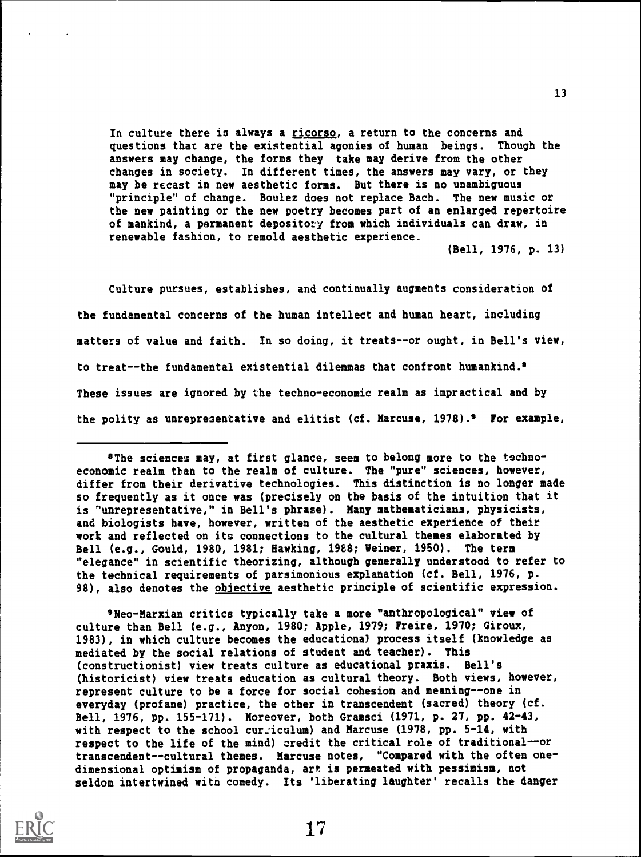In culture there is always a ricorso, a return to the concerns and questions that are the existential agonies of human beings. Though the answers may change, the forms they take may derive from the other changes in society. In different times, the answers may vary, or they may be recast in new aesthetic forms. But there is no unambiguous "principle" of change. Boulez does not replace Bach. The new music or the new painting or the new poetry becomes part of an enlarged repertoire of mankind, a permanent depository from which individuals can draw, in renewable fashion, to remold aesthetic experience.

(Bell, 1976, p. 13)

Culture pursues, establishes, and continually augments consideration of the fundamental concerns of the human intellect and human heart, including matters of value and faith. In so doing, it treats--or ought, in Bell's view, to treat--the fundamental existential dilemmas that confront humankind.9 These issues are ignored by the techno-economic realm as impractical and by the polity as unrepresentative and elitist (cf. Marcuse, 1978).9 For example,

9Neo-Marxian critics typically take a more "anthropological" view of culture than Bell (e.g., Anyon, 1980; Apple, 1979; Freire, 1970; Giroux, 1983), in which culture becomes the educational process itself (knowledge as mediated by the social relations of student and teacher). This (constructionist) view treats culture as educational praxis. Bell's (historicist) view treats education as cultural theory. Both views, however, represent culture to be a force for social cohesion and meaning--one in everyday (profane) practice, the other in transcendent (sacred) theory (cf. Bell, 1976, pp. 155-171). Moreover, both Gramsci (1971, p. 27, pp. 42-43, with respect to the school curriculum) and Marcuse (1978, pp. 5-14, with respect to the life of the mind) credit the critical role of traditional--or transcendent--cultural themes. Marcuse notes, "Compared with the often onedimensional optimism of propaganda, art is permeated with pessimism, not seldom intertwined with comedy. Its 'liberating laughter' recalls the danger



<sup>9</sup>The sciences may, at first glance, seem to belong more to the technoeconomic realm than to the realm of culture. The "pure" sciences, however, differ from their derivative technologies. This distinction is no longer made so frequently as it once was (precisely on the basis of the intuition that it is "unrepresentative," in Bell's phrase). Many mathematicians, physicists, and biologists have, however, written of the aesthetic experience of their work and reflected on its connections to the cultural themes elaborated by Bell (e.g., Gould, 1980, 1981; Hawking, 1988; Weiner, 1950). The term "elegance" in scientific theorizing, although generally understood to refer to the technical requirements of parsimonious explanation (cf. Bell, 1976, p. 98), also denotes the objective aesthetic principle of scientific expression.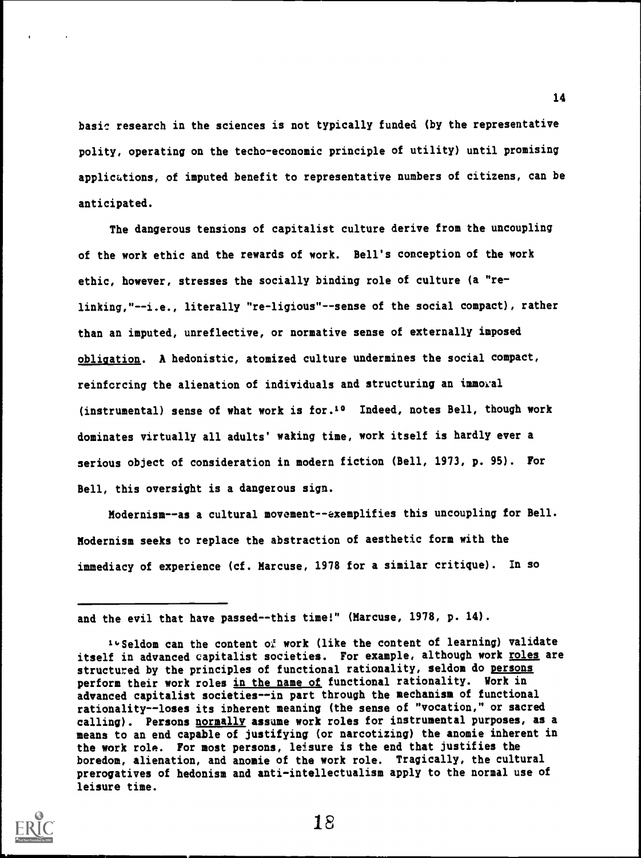basic research in the sciences is not typically funded (by the representative polity, operating on the techo-economic principle of utility) until promising applications, of imputed benefit to representative numbers of citizens, can be anticipated.

The dangerous tensions of capitalist culture derive from the uncoupling of the work ethic and the rewards of work. Bell's conception of the work ethic, however, stresses the socially binding role of culture (a "relinking,"--i.e., literally "re-ligious"--sense of the social compact), rather than an imputed, unreflective, or normative sense of externally imposed obligation. A hedonistic, atomized culture undermines the social compact, reinforcing the alienation of individuals and structuring an immoral (instrumental) sense of what work is for.10 Indeed, notes Bell, though work dominates virtually all adults' waking time, work itself is hardly ever a serious object of consideration in modern fiction (Bell, 1973, p. 95). For Bell, this oversight is a dangerous sign.

Modernism--as a cultural movement--exemplifies this uncoupling for Bell. Modernism seeks to replace the abstraction of aesthetic form with the immediacy of experience (cf. Marcuse, 1978 for a similar critique). In so

and the evil that have passed--this time!" (Marcuse, 1978, p. 14).

<sup>1.</sup> Seldom can the content of work (like the content of learning) validate itself in advanced capitalist societies. For example, although work roles are structured by the principles of functional rationality, seldom do persons perform their work roles in the name of functional rationality. Work in advanced capitalist societies--in part through the mechanism of functional rationality--loses its ipherent meaning (the sense of "vocation," or sacred calling). Persons normally assume work roles for instrumental purposes, as a means to an end capable of justifying (or narcotizing) the anomie inherent in the work role. For most persons, leisure is the end that justifies the boredom, alienation, and anomie of the work role. Tragically, the cultural prerogatives of hedonism and anti-intellectualism apply to the normal use of leisure time.



18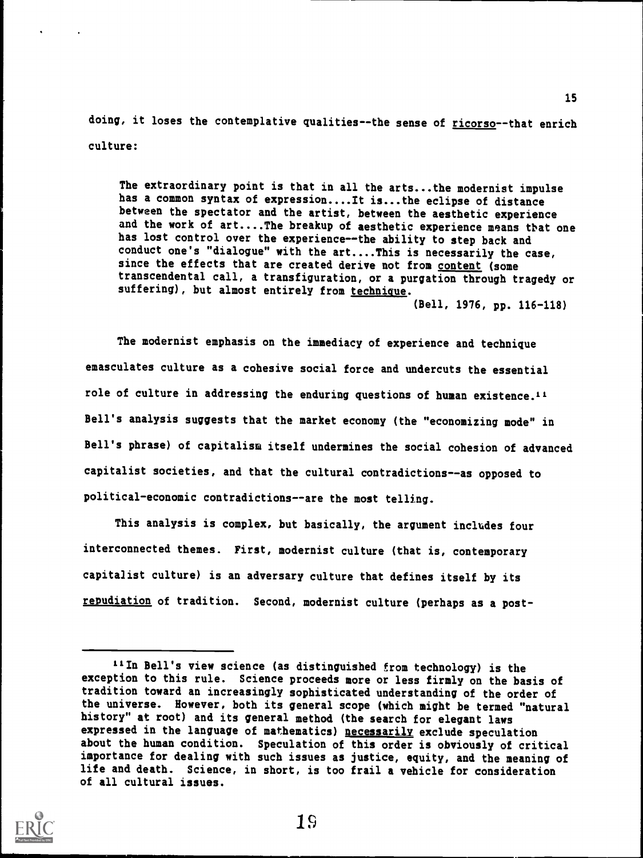doing, it loses the contemplative qualities--the sense of ricorso--that enrich culture:

The extraordinary point is that in all the arts...the modernist impulse has a common syntax of expression....It is...the eclipse of distance between the spectator and the artist, between the aesthetic experience and the work of art....The breakup of aesthetic experience means that one has lost control over the experience--the ability to step back and conduct one's "dialogue" with the art....This is necessarily the case, since the effects that are created derive not from content (some transcendental call, a transfiguration, or a purgation through tragedy or suffering), but almost entirely from technique.

(Bell, 1976, pp. 116-118)

The modernist emphasis on the immediacy of experience and technique emasculates culture as a cohesive social force and undercuts the essential role of culture in addressing the enduring questions of human existence.11 Bell's analysis suggests that the market economy (the "economizing mode" in Bell's phrase) of capitalism itself undermines the social cohesion of advanced capitalist societies, and that the cultural contradictions--as opposed to political-economic contradictions--are the most telling.

This analysis is complex, but basically, the argument includes four interconnected themes. First, modernist culture (that is, contemporary capitalist culture) is an adversary culture that defines itself by its repudiation of tradition. Second, modernist culture (perhaps as a post-

iiIn Bell's view science (as distinguished from technology) is the exception to this rule. Science proceeds more or less firmly on the basis of tradition toward an increasingly sophisticated understanding of the order of the universe. However, both its general scope (which might be termed "natural history" at root) and its general method (the search for elegant laws expressed in the language of mathematics) necessarily exclude speculation about the human condition. Speculation of this order is obviously of critical importance for dealing with such issues as justice, equity, and the meaning of life and death. Science, in short, is too frail a vehicle for consideration of all cultural issues.

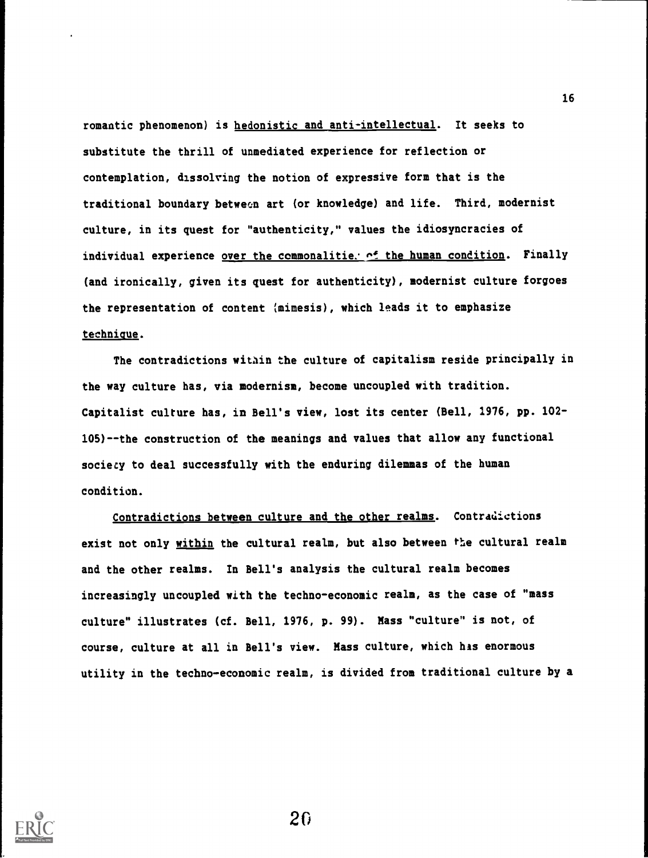romantic phenomenon) is hedonistic and anti-intellectual. It seeks to substitute the thrill of unmediated experience for reflection or contemplation, dissolving the notion of expressive form that is the traditional boundary between art (or knowledge) and life. Third, modernist culture, in its quest for "authenticity," values the idiosyncracies of individual experience over the commonalities  $\sim$ f the human condition. Finally (and ironically, given its quest for authenticity), modernist culture forgoes the representation of content (mimesis), which leads it to emphasize technique.

The contradictions within the culture of capitalism reside principally in the way culture has, via modernism, become uncoupled with tradition. Capitalist culture has, in Bell's view, lost its center (Bell, 1976, pp. 102- 105)- -the construction of the meanings and values that allow any functional society to deal successfully with the enduring dilemmas of the human condition.

Contradictions between culture and the other realms. Contradictions exist not only within the cultural realm, but also between the cultural realm and the other realms. In Bell's analysis the cultural realm becomes increasingly uncoupled with the techno-economic realm, as the case of "mass culture" illustrates (cf. Bell, 1976, p. 99). Mass "culture" is not, of course, culture at all in Bell's view. Mass culture, which his enormous utility in the techno-economic realm, is divided from traditional culture by a

20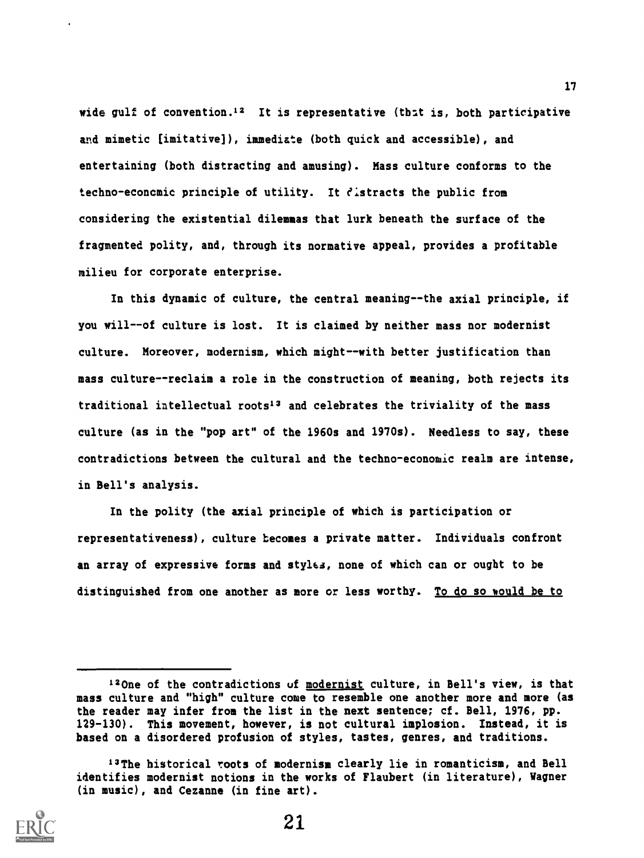wide gulf of convention.<sup>12</sup> It is representative (that is, both participative and mimetic (imitative]), immediate (both quick and accessible), and entertaining (both distracting and amusing). Mass culture conforms to the techno-econcmic principle of utility. It distracts the public from considering the existential dilemmas that lurk beneath the surface of the fragmented polity, and, through its normative appeal, provides a profitable milieu for corporate enterprise.

In this dynamic of culture, the central meaning--the axial principle, if you will--of culture is lost. It is claimed by neither mass nor modernist culture. Moreover, modernism, which might--with better justification than mass culture--reclaim a role in the construction of meaning, both rejects its traditional intellectual roots<sup>13</sup> and celebrates the triviality of the mass culture (as in the "pop art" of the 1960s and 1970s). Needless to say, these contradictions between the cultural and the techno-economic realm are intense, in Bell's analysis.

In the polity (the axial principle of which is participation or representativeness), culture becomes a private matter. Individuals confront an array of expressive forms and stylca, none of which can or ought to be distinguished from one another as more or less worthy. To do so would be to

<sup>13</sup>The historical roots of modernism clearly lie in romanticism, and Bell identifies modernist notions in the works of Flaubert (in literature), Wagner (in music), and Cezanne (in fine art).



<sup>120</sup>ne of the contradictions of modernist culture, in Bell's view, is that mass culture and "high" culture come to resemble one another more and more (as the reader may infer from the list in the next sentence; cf. Bell, 1976, pp. 129-130). This movement, however, is not cultural implosion. Instead, it is based on a disordered profusion of styles, tastes, genres, and traditions.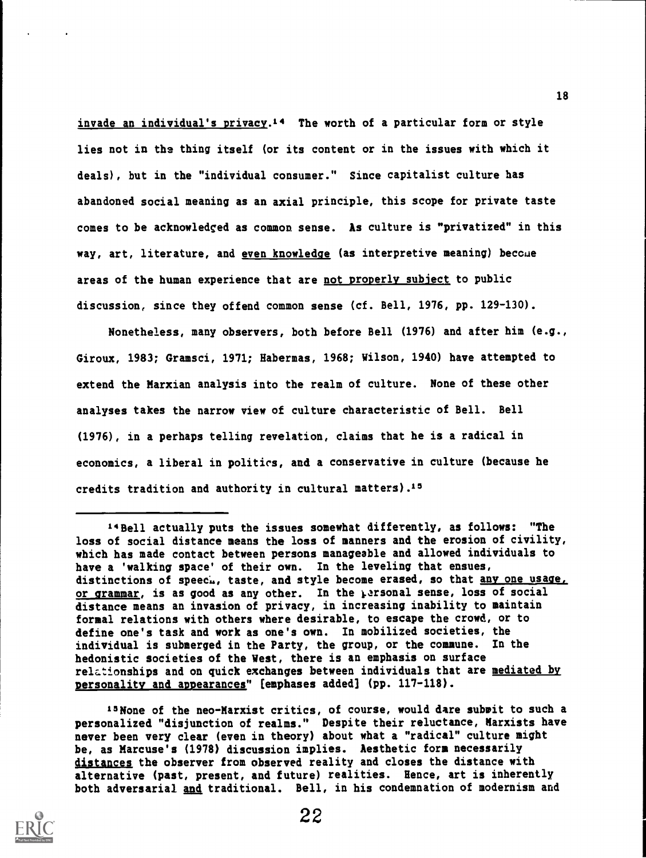invade an individual's privacy. 14 The worth of a particular form or style lies not in the thing itself (or its content or in the issues with which it deals), but in the "individual consumer." Since capitalist culture has abandoned social meaning as an axial principle, this scope for private taste comes to be acknowledged as common sense. As culture is "privatized" in this way, art, literature, and even knowledge (as interpretive meaning) beccue areas of the human experience that are not properly subject to public discussion, since they offend common sense (cf. Bell, 1976, pp. 129-130).

Nonetheless, many observers, both before Bell (1976) and after him (e.g., Giroux, 1983; Gramsci, 1971; Habermas, 1968; Wilson, 1940) have attempted to extend the Marxian analysis into the realm of culture. None of these other analyses takes the narrow view of culture characteristic of Bell. Bell (1976), in a perhaps telling revelation, claims that he is a radical in economics, a liberal in politics, and a conservative in culture (because he credits tradition and authority in cultural matters).<sup>15</sup>

14Bell actually puts the issues somewhat differently, as follows: "The loss of social distance means the loss of manners and the erosion of civility, which has made contact between persons manageable and allowed individuals to have a 'walking space' of their own. In the leveling that ensues, distinctions of speech, taste, and style become erased, so that any one usage, or grammar, is as good as any other. In the personal sense, loss of social distance means an invasion of privacy, in increasing inability to maintain formal relations with others where desirable, to escape the crowd, or to define one's task and work as one's own. In mobilized societies, the individual is submerged in the Party, the group, or the commune. In the hedonistic societies of the West, there is an emphasis on surface relationships and on quick exchanges between individuals that are mediated by personality and appearances" [emphases added] (pp. 117-118).

15 None of the neo-Marxist critics, of course, would dare submit to such a personalized "disjunction of realms." Despite their reluctance, Marxists have never been very clear (even in theory) about what a "radical" culture might be, as Marcuse's (1978) discussion implies. Aesthetic form necessarily distances the observer from observed reality and closes the distance with alternative (past, present, and future) realities. Hence, art is inherently both adversarial and traditional. Bell, in his condemnation of modernism and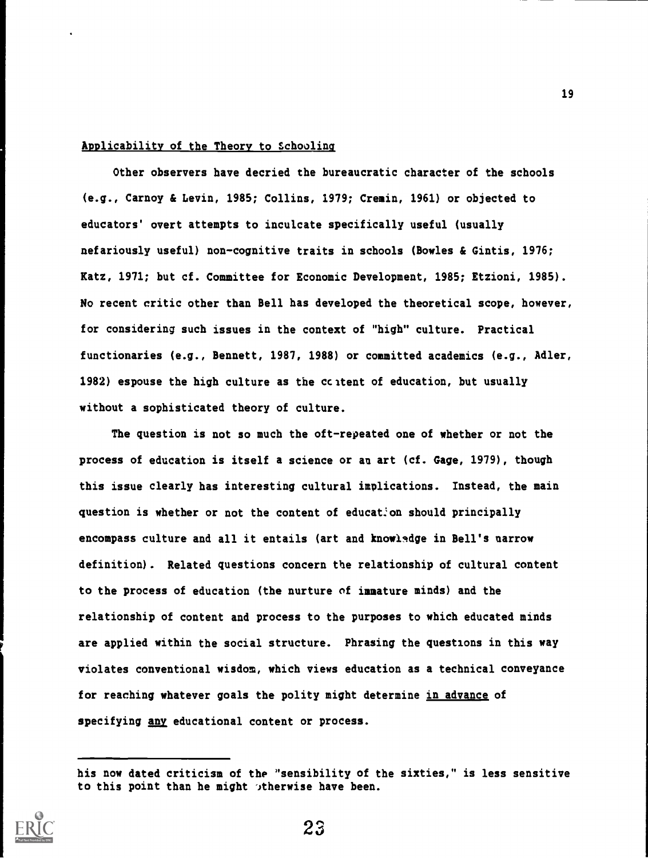#### Applicability of the Theory to Schoolina

Other observers have decried the bureaucratic character of the schools (e.g., Carnoy & Levin, 1985; Collins, 1979; Cremin, 1961) or objected to educators' overt attempts to inculcate specifically useful (usually nefariously useful) non-cognitive traits in schools (Bowles & Gintis, 1976; Katz, 1971; but cf. Committee for Economic Development, 1985; Etzioni, 1985). No recent critic other than Bell has developed the theoretical scope, however, for considering such issues in the context of "high" culture. Practical functionaries (e.g., Bennett, 1987, 1988) or committed academics (e.g., Adler, 1982) espouse the high culture as the ccitent of education, but usually without a sophisticated theory of culture.

The question is not so much the oft-repeated one of whether or not the process of education is itself a science or an art (cf. Gage, 1979), though this issue clearly has interesting cultural implications. Instead, the main question is whether or not the content of education should principally encompass culture and all it entails (art and knowledge in Bell's narrow definition). Related questions concern the relationship of cultural content to the process of education (the nurture of immature minds) and the relationship of content and process to the purposes to which educated minds are applied within the social structure. Phrasing the questions in this way violates conventional wisdom, which views education as a technical conveyance for reaching whatever goals the polity might determine in advance of specifying any educational content or process.

his now dated criticism of the "sensibility of the sixties," is less sensitive to this point than he might stherwise have been.

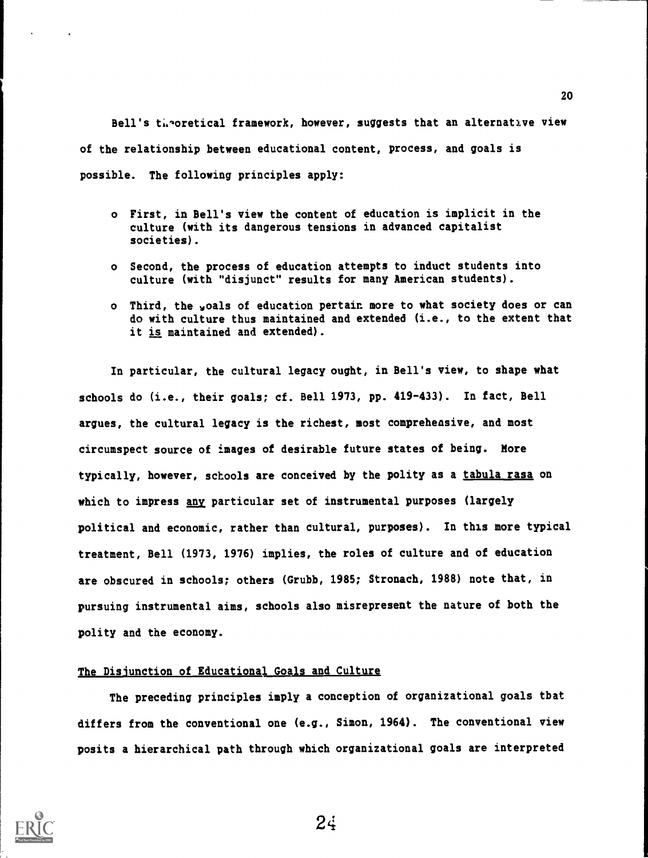Bell's theoretical framework, however, suggests that an alternative view of the relationship between educational content, process, and goals is possible. The following principles apply:

- o First, in Bell's view the content of education is implicit in the culture (with its dangerous tensions in advanced capitalist societies).
- o Second, the process of education attempts to induct students into culture (with "disjunct" results for many American students).
- o Third, the voals of education pertain more to what society does or can do with culture thus maintained and extended (i.e., to the extent that it is maintained and extended).

In particular, the cultural legacy ought, in Bell's view, to shape what schools do (i.e., their goals; cf. Bell 1973, pp. 419-433). In fact, Bell argues, the cultural legacy is the richest, most comprehensive, and most circumspect source of images of desirable future states of being. More typically, however, schools are conceived by the polity as a tabula rasa on which to impress any particular set of instrumental purposes (largely political and economic, rather than cultural, purposes). In this more typical treatment, Bell (1973, 1976) implies, the roles of culture and of education are obscured in schools; others (Grubb, 1985; Stronach, 1988) note that, in pursuing instrumental aims, schools also misrepresent the nature of both the polity and the economy.

## The Disjunction of Educational Goals and Culture

The preceding principles imply a conception of organizational goals that differs from the conventional one (e.g., Simon, 1964). The conventional view posits a hierarchical path through which organizational goals are interpreted



24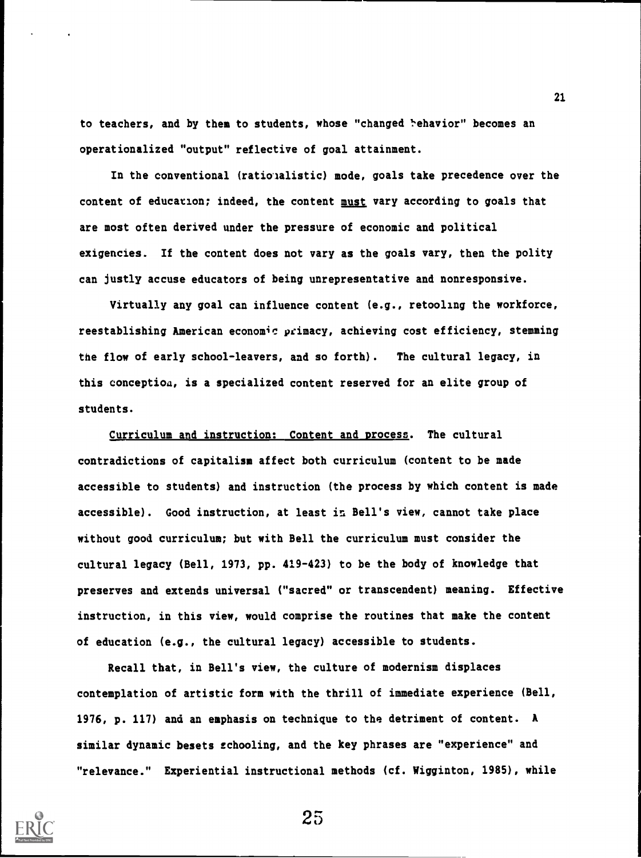to teachers, and by them to students, whose "changed 'ehavior" becomes an operationalized "output" reflective of goal attainment.

In the conventional (ratioialistic) mode, goals take precedence over the content of education; indeed, the content must vary according to goals that are most often derived under the pressure of economic and political exigencies. If the content does not vary as the goals vary, then the polity can justly accuse educators of being unrepresentative and nonresponsive.

Virtually any goal can influence content (e.g., retooling the workforce, reestablishing American economic primacy, achieving cost efficiency, stemming the flow of early school-leavers, and so forth). The cultural legacy, in this conception, is a specialized content reserved for an elite group of students.

Curriculum and instruction: Content and process. The cultural contradictions of capitalism affect both curriculum (content to be made accessible to students) and instruction (the process by which content is made accessible). Good instruction, at least in Bell's view, cannot take place without good curriculum; but with Bell the curriculum must consider the cultural legacy (Bell, 1973, pp. 419-423) to be the body of knowledge that preserves and extends universal ("sacred" or transcendent) meaning. Effective instruction, in this view, would comprise the routines that make the content of education (e.g., the cultural legacy) accessible to students.

Recall that, in Bell's view, the culture of modernism displaces contemplation of artistic form with the thrill of immediate experience (Bell, 1976, p. 117) and an emphasis on technique to the detriment of content. A similar dynamic besets schooling, and the key phrases are "experience" and "relevance." Experiential instructional methods (cf. Wigginton, 1985), while



25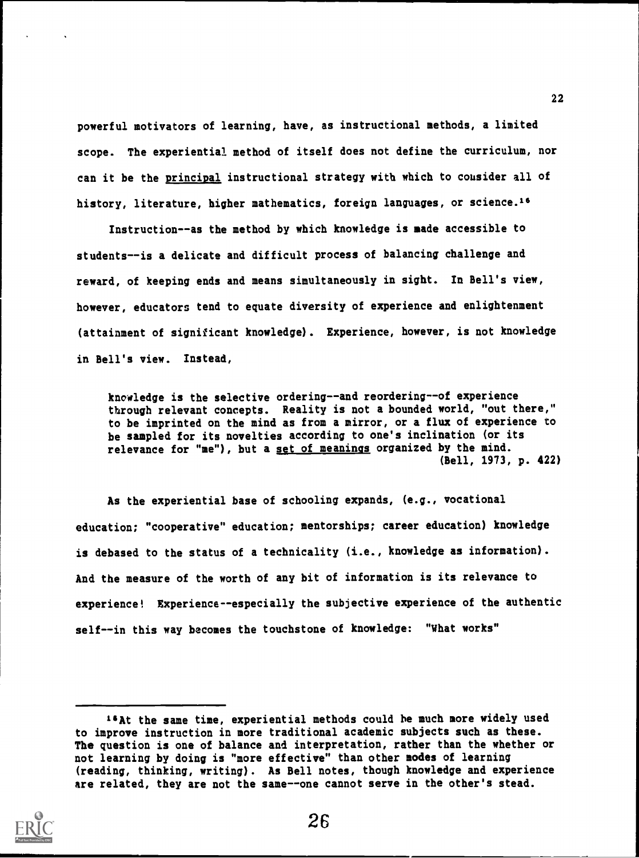powerful motivators of learning, have, as instructional methods, a limited scope. The experiential method of itself does not define the curriculum, nor can it be the principal instructional strategy with which to consider all of history, literature, higher mathematics, foreign languages, or science.<sup>16</sup>

Instruction--as the method by which knowledge is made accessible to students--is a delicate and difficult process of balancing challenge and reward, of keeping ends and means simultaneously in sight. In Bell's view, however, educators tend to equate diversity of experience and enlightenment (attainment of significant knowledge). Experience, however, is not knowledge in Bell's view. Instead,

knowledge is the selective ordering--and reordering--of experience through relevant concepts. Reality is not a bounded world, "out there," to be imprinted on the mind as from a mirror, or a flux of experience to be sampled for its novelties according to one's inclination (or its relevance for "me"), but a set of meanings organized by the mind. (Bell, 1973, p. 422)

As the experiential base of schooling expands, (e.g., vocational education; "cooperative" education; mentorships; career education) knowledge is debased to the status of a technicality (i.e., knowledge as information). And the measure of the worth of any bit of information is its relevance to experience! Experience--especially the subjective experience of the authentic self--in this way becomes the touchstone of knowledge: "What works"

<sup>&</sup>quot;At the same time, experiential methods could he much more widely used to improve instruction in more traditional academic subjects such as these. The question is one of balance and interpretation, rather than the whether or not learning by doing is "more effective" than other modes of learning (reading, thinking, writing). As Bell notes, though knowledge and experience are related, they are not the same--one cannot serve in the other's stead.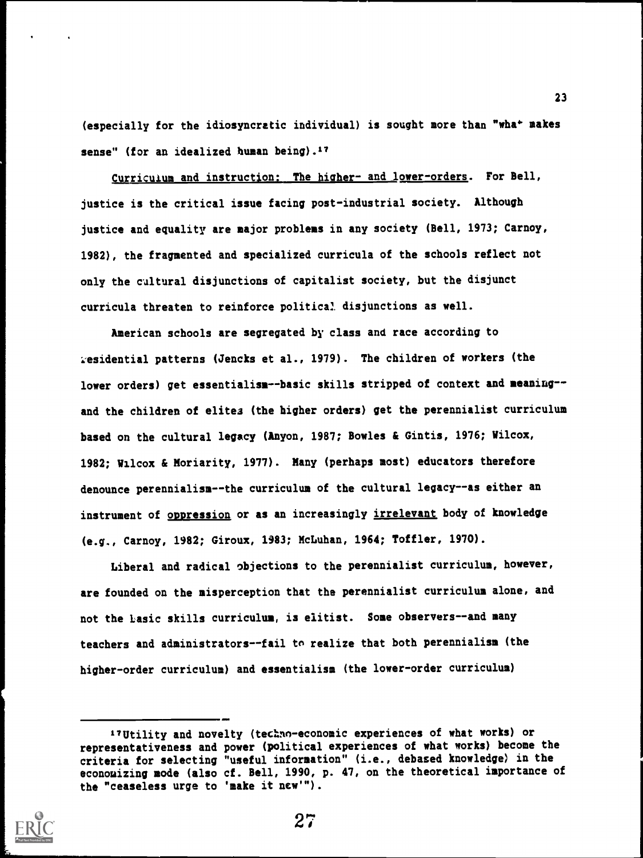$(esspecially for the idiosyncratic individual)$  is sought more than "wha\* makes" sense" (for an idealized human being).<sup>17</sup>

Curriculum and instruction: The higher- and lower-orders. For Bell, justice is the critical issue facing post-industrial society. Although justice and equality are major problems in any society (Bell, 1973; Carnoy, 1982), the fragmented and specialized curricula of the schools reflect not only the cultural disjunctions of capitalist society, but the disjunct curricula threaten to reinforce political disjunctions as well.

American schools are segregated by class and race according to residential patterns (Jencks et al., 1979). The children of workers (the lower orders) get essentialism--basic skills stripped of context and meaning-and the children of elitea (the higher orders) get the perennialist curriculum based on the cultural legacy (Anyon, 1987; Bowles & Gintis, 1976; Wilcox, 1982; Wilcox & Moriarity, 1977). Many (perhaps most) educators therefore denounce perennialism--the curriculum of the cultural legacy--as either an instrument of oppression or as an increasingly irrelevant body of knowledge (e.g., Carnoy, 1982; Giroux, 1983; McLuhan, 1964; Toffler, 1970).

Liberal and radical objections to the perennialist curriculum, however, are founded on the misperception that the perennialist curriculum alone, and not the basic skills curriculum, is elitist. Some observers--and many teachers and administrators--fail to realize that both perennialism (the higher-order curriculum) and essentialism (the lower-order curriculum)

<sup>&</sup>quot;Utility and novelty (techno-economic experiences of what works) or representativeness and power (political experiences of what works) become the criteria for selecting "useful information" (i.e., debased knowledge) in the econouizing mode (also cf. Bell, 1990, p. 47, on the theoretical importance of the "ceaseless urge to 'make it new'").

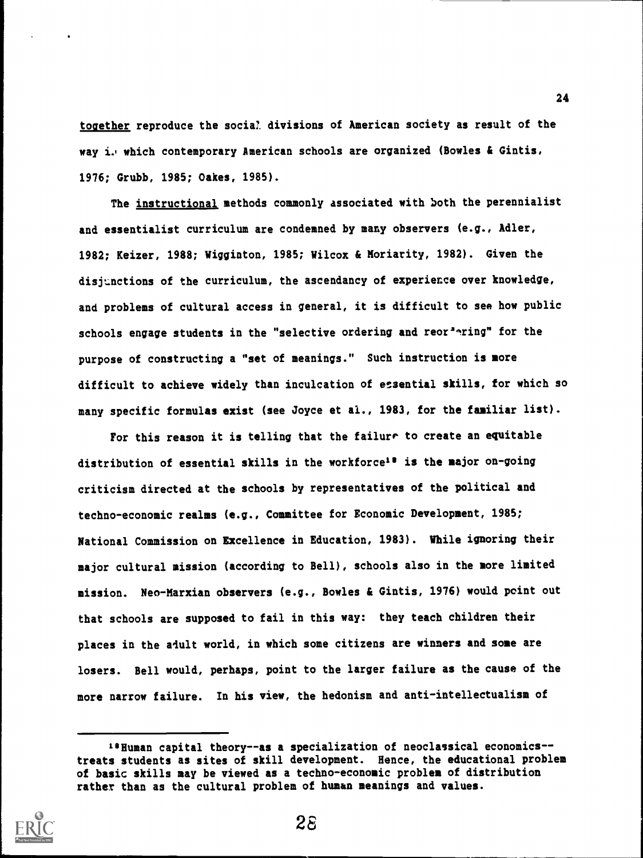together reproduce the social divisions of American society as result of the way i. which contemporary American schools are organized (Bowles & Gintis, 1976; Grubb, 1985; Oakes, 1985).

The instructional methods commonly associated with both the perennialist and essentialist curriculum are condemned by many observers (e.g., Adler, 1982; Keizer, 1988; Wigginton, 1985; Wilcox & Moriarity, 1982). Given the disjtmctions of the curriculum, the ascendancy of experience over knowledge, and problems of cultural access in general, it is difficult to see how public schools engage students in the "selective ordering and reor<sup>2</sup>nring" for the purpose of constructing a "set of meanings." Such instruction is more difficult to achieve widely than inculcation of essential skills, for which so many specific formulas exist (see Joyce et al., 1983, for the familiar list).

For this reason it is telling that the failure to create an equitable distribution of essential skills in the workforce<sup>18</sup> is the major on-going criticism directed at the schools by representatives of the political and techno-economic realms (e.g., Committee for Economic Development, 1985; National Commission on Excellence in Education, 1983). While ignoring their major cultural mission (according to Bell), schools also in the more limited mission. Neo-Marxian observers (e.g., Bowles & Gintis, 1976) would point out that schools are supposed to fail in this way: they teach children their places in the adult world, in which some citizens are winners and some are losers. Bell would, perhaps, point to the larger failure as the cause of the more narrow failure. In his view, the hedonism and anti-intellectualism of

<sup>18</sup> Human capital theory--as a specialization of neoclassical economics-treats students as sites of skill development. Hence, the educational problem of basic skills may be viewed as a techno-economic problem of distribution rather than as the cultural problem of human meanings and values.



28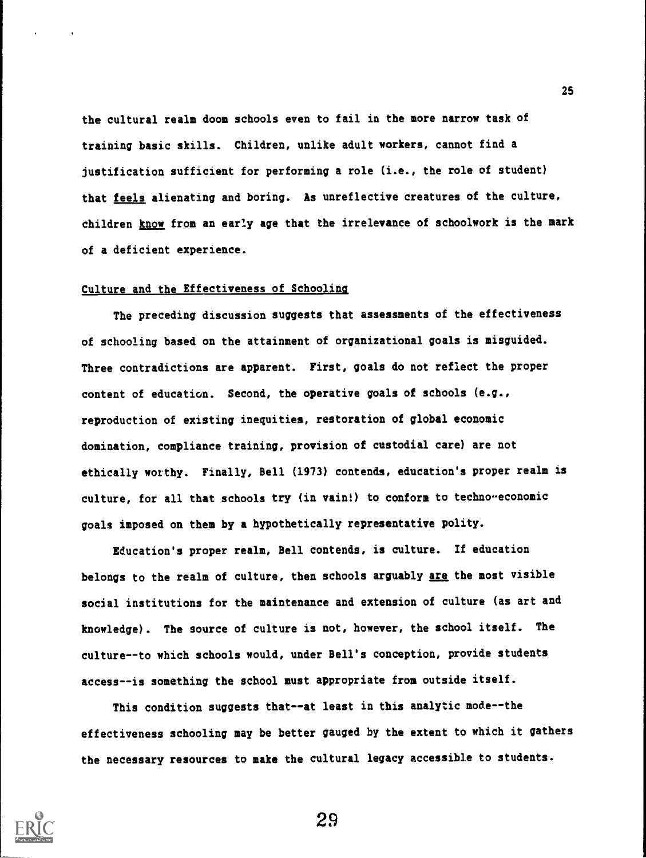the cultural realm doom schools even to fail in the more narrow task of training basic skills. Children, unlike adult workers, cannot find a justification sufficient for performing a role (i.e., the role of student) that feels alienating and boring. As unreflective creatures of the culture, children know from an early age that the irrelevance of schoolwork is the mark of a deficient experience.

#### Culture and the Effectiveness of Schooling

The preceding discussion suggests that assessments of the effectiveness of schooling based on the attainment of organizational goals is misguided. Three contradictions are apparent. First, goals do not reflect the proper content of education. Second, the operative goals of schools (e.g., reproduction of existing inequities, restoration of global economic domination, compliance training, provision of custodial care) are not ethically worthy. Finally, Bell (1973) contends, education's proper realm is culture, for all that schools try (in vain!) to conform to techno-economic goals imposed on them by a hypothetically representative polity.

Education's proper realm, Bell contends, is culture. If education belongs to the realm of culture, then schools arguably are the most visible social institutions for the maintenance and extension of culture (as art and knowledge). The source of culture is not, however, the school itself. The culture--to which schools would, under Bell's conception, provide students access--is something the school must appropriate from outside itself.

This condition suggests that--at least in this analytic mode--the effectiveness schooling may be better gauged by the extent to which it gathers the necessary resources to make the cultural legacy accessible to students.

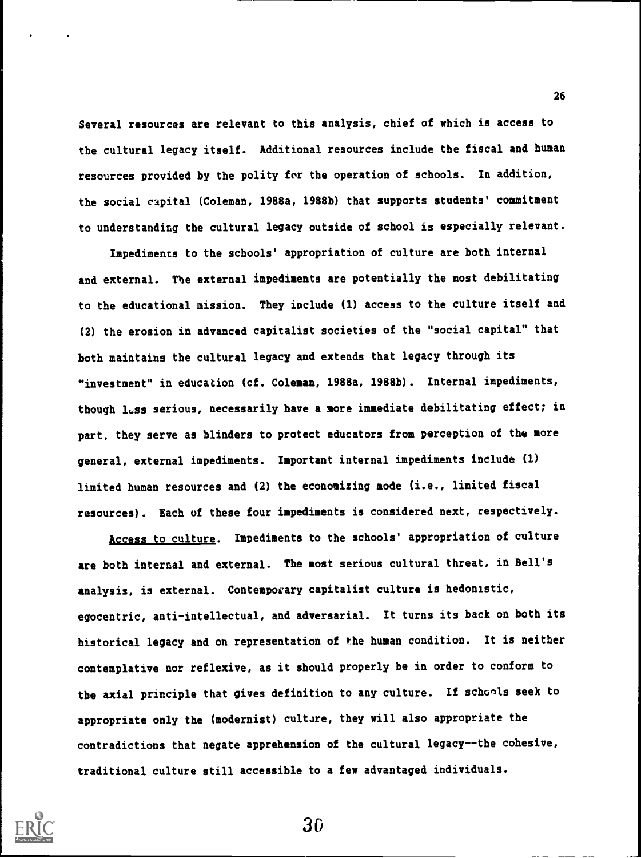Several resources are relevant to this analysis, chief of which is access to the cultural legacy itself. Additional resources include the fiscal and human resources provided by the polity for the operation of schools. In addition, the social capital (Coleman, 1988a, 1988b) that supports students' commitment to understanding the cultural legacy outside of school is especially relevant.

Impediments to the schools' appropriation of culture are both internal and external. The external impediments are potentially the most debilitating to the educational mission. They include (1) access to the culture itself and (2) the erosion in advanced capitalist societies of the "social capital" that both maintains the cultural legacy and extends that legacy through its "investment" in education (cf. Coleman, 1988a, 1988b). Internal impediments, though less serious, necessarily have a more immediate debilitating effect; in part, they serve as blinders to protect educators from perception of the more general, external impediments. Important internal impediments include (1) limited human resources and (2) the economizing node (i.e., limited fiscal resources). Each of these four impediments is considered next, respectively.

Access to culture. Impediments to the schools' appropriation of culture are both internal and external. The most serious cultural threat, in Bell's analysis, is external. Contemporary capitalist culture is hedonistic, egocentric, anti-intellectual, and adversarial. It turns its back on both its historical legacy and on representation of the human condition. It is neither contemplative nor reflexive, as it should properly be in order to conform to the axial principle that gives definition to any culture. If schools seek to appropriate only the (modernist) culture, they will also appropriate the contradictions that negate apprehension of the cultural legacy--the cohesive, traditional culture still accessible to a few advantaged individuals.



30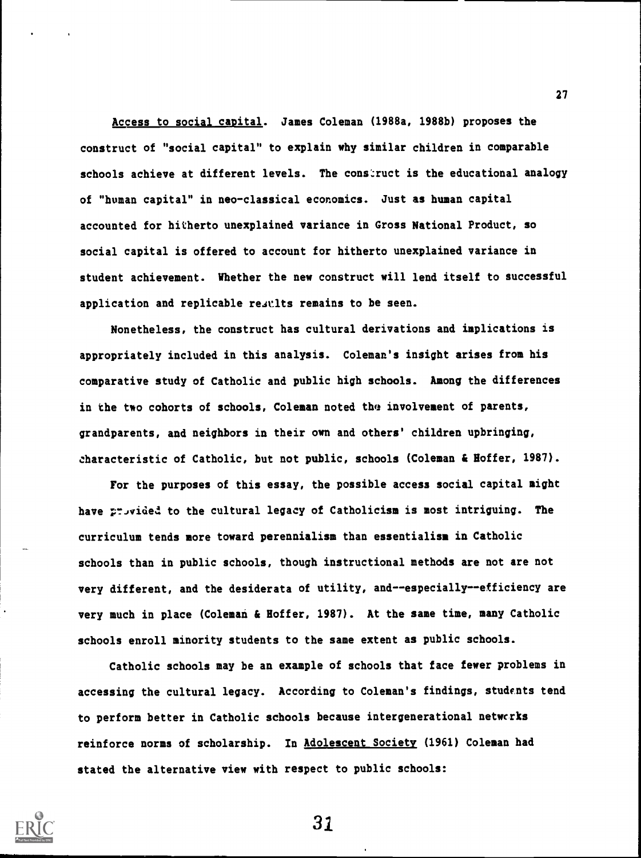Access to social capital. James Coleman (1988a, 1988b) proposes the construct of "social capital" to explain why similar children in comparable schools achieve at different levels. The construct is the educational analogy of "human capital" in neo-classical economics. Just as human capital accounted for hitherto unexplained variance in Gross National Product, so social capital is offered to account for hitherto unexplained variance in student achievement. Whether the new construct will lend itself to successful application and replicable results remains to be seen.

Nonetheless, the construct has cultural derivations and implications is appropriately included in this analysis. Coleman's insight arises from his comparative study of Catholic and public high schools. Among the differences in the two cohorts of schools, Coleman noted the involvement of parents, grandparents, and neighbors in their own and others' children upbringing, characteristic of Catholic, but not public, schools (Coleman & Hoffer, 1987).

For the purposes of this essay, the possible access social capital might have provided to the cultural legacy of Catholicism is most intriguing. The curriculum tends more toward perennialism than essentialism in Catholic schools than in public schools, though instructional methods are not are not very different, and the desiderata of utility, and--especially--efficiency are very much in place (Coleman & Hoffer, 1987). At the same time, many Catholic schools enroll minority students to the same extent as public schools.

Catholic schools may be an example of schools that face fewer problems in accessing the cultural legacy. According to Coleman's findings, students tend to perform better in Catholic schools because intergenerational netwcrks reinforce norms of scholarship. In Adolescent Society (1961) Coleman had stated the alternative view with respect to public schools:



31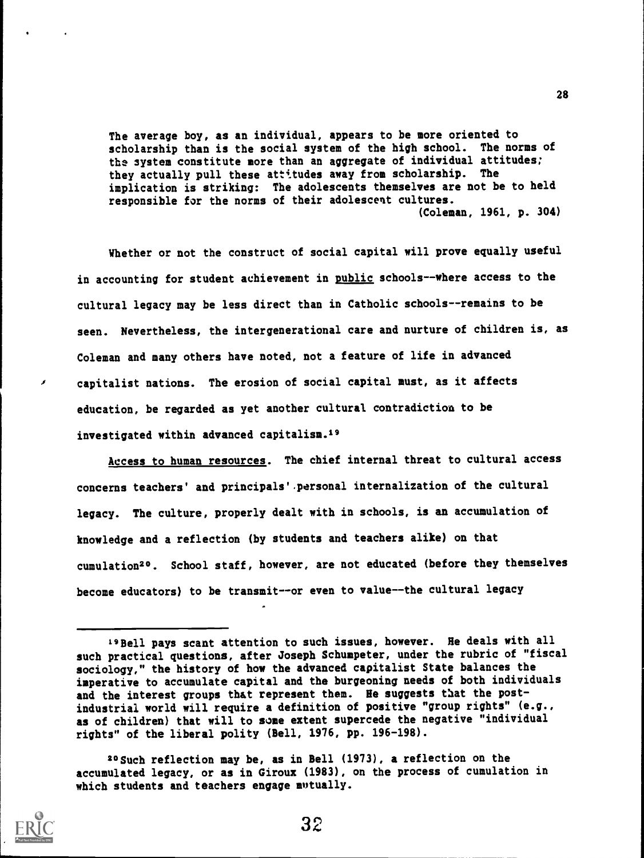The average boy, as an individual, appears to be more oriented to scholarship than is the social system of the high school. The norms of the system constitute more than an aggregate of individual attitudes; they actually pull these attitudes away from scholarship. The implication is striking: The adolescents themselves are not be to held responsible for the norms of their adolescent cultures. (Coleman, 1961, p. 304)

Whether or not the construct of social capital will prove equally useful in accounting for student achievement in public schools--where access to the cultural legacy may be less direct than in Catholic schools--remains to be seen. Nevertheless, the intergenerational care and nurture of children is, as Coleman and many others have noted, not a feature of life in advanced capitalist nations. The erosion of social capital must, as it affects education, be regarded as yet another cultural contradiction to be investigated within advanced capitalism.19

Access to human resources. The chief internal threat to cultural access concerns teachers' and principals'.personal internalization of the cultural legacy. The culture, properly dealt with in schools, is an accumulation of knowledge and a reflection (by students and teachers alike) on that cumulation20. School staff, however, are not educated (before they themselves become educators) to be transmit--or even to value--the cultural legacy

<sup>20</sup> Such reflection may be, as in Bell (1973), a reflection on the accumulated legacy, or as in Giroux (1983), on the process of cumulation in which students and teachers engage mutually.



x

<sup>19</sup> Bell pays scant attention to such issues, however. He deals with all such practical questions, after Joseph Schumpeter, under the rubric of "fiscal sociology," the history of how the advanced capitalist State balances the imperative to accumulate capital and the burgeoning needs of both individuals and the interest groups that represent them. He suggests that the postindustrial world will require a definition of positive "group rights" (e.g., as of children) that will to some extent supercede the negative "individual rights" of the liberal polity (Bell, 1976, pp. 196-198).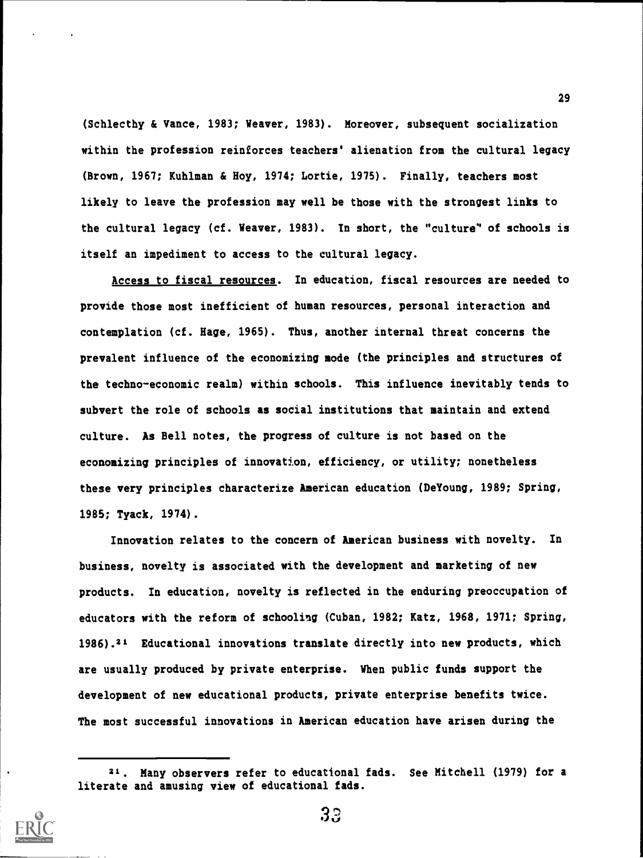(Schlecthy & Vance, 1983; Weaver, 1983). Moreover, subsequent socialization within the profession reinforces teachers' alienation from the cultural legacy (Brown, 1967; Kuhlman & Hoy, 1974; Lortie, 1975). Finally, teachers most likely to leave the profession may well be those with the strongest links to the cultural legacy (cf. Weaver, 1983). In short, the "culture" of schools is itself an impediment to access to the cultural legacy.

Access to fiscal resources. In education, fiscal resources are needed to provide those most inefficient of human resources, personal interaction and contemplation (cf. Rage, 1965). Thus, another internal threat concerns the prevalent influence of the economizing mode (the principles and structures of the techno-economic realm) within schools. This influence inevitably tends to subvert the role of schools as social institutions that maintain and extend culture. As Bell notes, the progress of culture is not based on the economizing principles of innovation, efficiency, or utility; nonetheless these very principles characterize American education (DeYoung, 1989; Spring, 1985; Tyack, 1974).

Innovation relates to the concern of American business with novelty. In business, novelty is associated with the development and marketing of new products. In education, novelty is reflected in the enduring preoccupation of educators with the reform of schooling (Cuban, 1982; Katz, 1968, 1971; Spring, 1986).21 Educational innovations translate directly into new products, which are usually produced by private enterprise. When public funds support the development of new educational products, private enterprise benefits twice. The most successful innovations in American education have arisen during the

<sup>21.</sup> Many observers refer to educational fads. See Mitchell (1979) for a literate and amusing view of educational fads.



33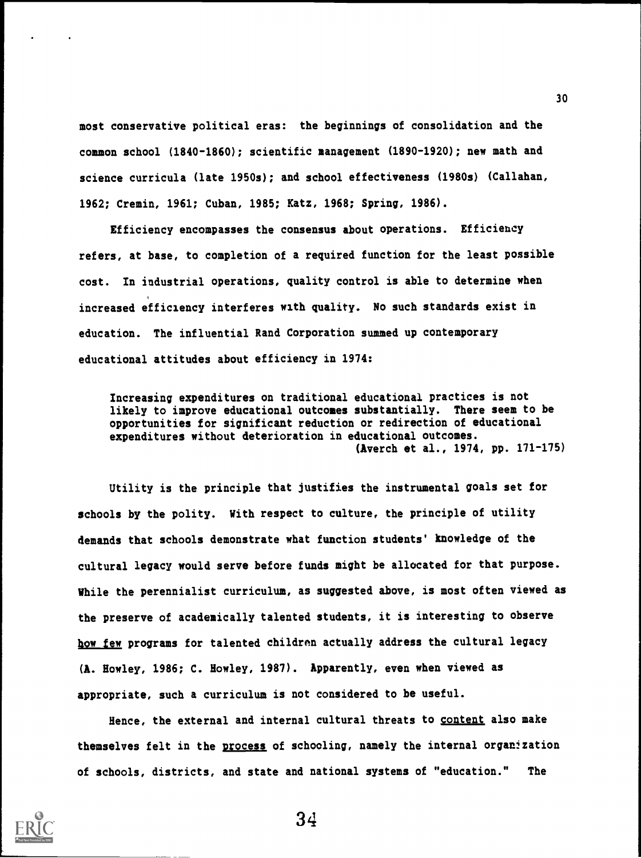most conservative political eras: the beginnings of consolidation and the common school (1840-1860); scientific management (1890-1920); new math and science curricula (late 1950s); and school effectiveness (1980s) (Callahan, 1962; Cremin, 1961; Cuban, 1985; Katz, 1968; Spring, 1986).

Efficiency encompasses the consensus about operations. Efficiency refers, at base, to completion of a required function for the least possible cost. In industrial operations, quality control is able to determine when increased efficiency interferes with quality. No such standards exist in education. The influential Rand Corporation summed up contemporary educational attitudes about efficiency in 1974:

Increasing expenditures on traditional educational practices is not likely to improve educational outcomes substantially. There seem to be opportunities for significant reduction or redirection of educational expenditures without deterioration in educational outcomes. (Averch et al., 1974, pp. 171-175)

Utility is the principle that justifies the instrumental goals set for schools by the polity. With respect to culture, the principle of utility demands that schools demonstrate what function students' knowledge of the cultural legacy would serve before funds might be allocated for that purpose. While the perennialist curriculum, as suggested above, is most often viewed as the preserve of academically talented students, it is interesting to observe how few programs for talented children actually address the cultural legacy (A. Howley, 1986; C. Howley, 1987). Apparently, even when viewed as appropriate, such a curriculum is not considered to be useful.

Hence, the external and internal cultural threats to content also make themselves felt in the process of schooling, namely the internal organization of schools, districts, and state and national systems of "education." The



34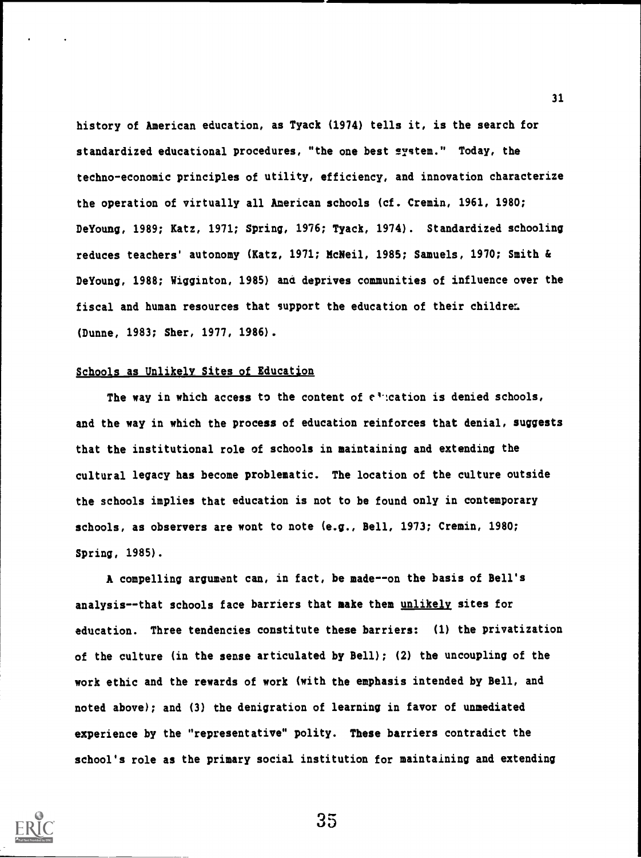history of American education, as Tyack (1974) tells it, is the search for standardized educational procedures, "the one best system." Today, the techno-economic principles of utility, efficiency, and innovation characterize the operation of virtually all American schools (cf. Cremin, 1961, 1980; DeYoung, 1989; Katz, 1971; Spring, 1976; Tyack, 1974). Standardized schooling reduces teachers' autonomy (Katz, 1971; McNeil, 1985; Samuels, 1970; Smith & DeYoung, 1988; Wigginton, 1985) ana deprives communities of influence over the fiscal and human resources that support the education of their children. (Dunne, 1983; Sher, 1977, 1986).

#### Schools as Unlikely Sites of Education

The way in which access to the content of  $e^*$  cation is denied schools, and the way in which the process of education reinforces that denial, suggests that the institutional role of schools in maintaining and extending the cultural legacy has become problematic. The location of the culture outside the schools implies that education is not to be found only in contemporary schools, as observers are wont to note (e.g., Bell, 1973; Cremin, 1980; Spring, 1985).

A compelling argument can, in fact, be made--on the basis of Bell's analysis--that schools face barriers that make them unlikely sites for education. Three tendencies constitute these barriers: (1) the privatization of the culture (in the sense articulated by Bell); (2) the uncoupling of the work ethic and the rewards of work (with the emphasis intended by Bell, and noted above); and (3) the denigration of learning in favor of unmediated experience by the "representative" polity. These barriers contradict the school's role as the primary social institution for maintaining and extending



35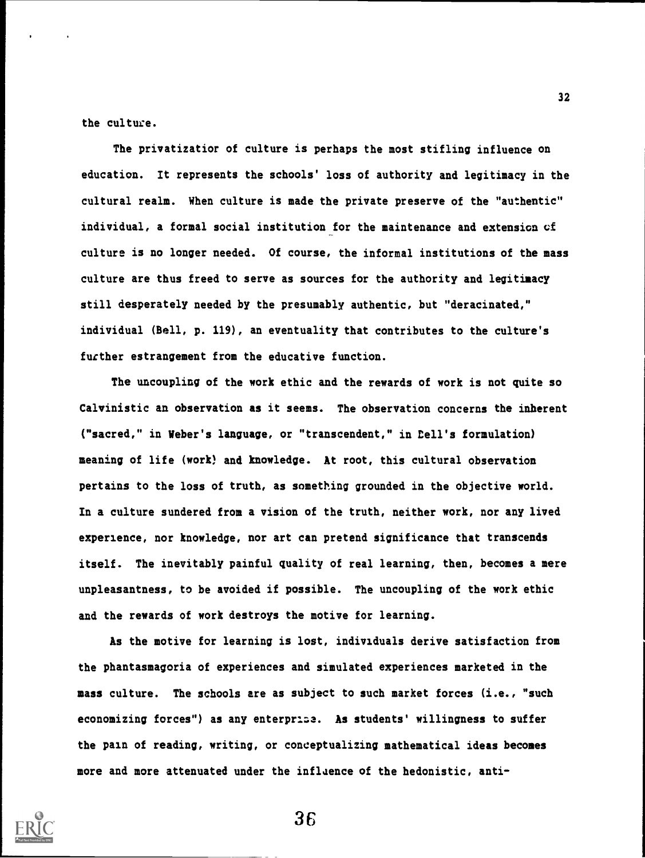the culture.

The privatizatior of culture is perhaps the most stifling influence on education. It represents the schools' loss of authority and legitimacy in the cultural realm. When culture is made the private preserve of the "authentic" individual, a formal social institution for the maintenance and extension cf culture is no longer needed. Of course, the informal institutions of the mass culture are thus freed to serve as sources for the authority and legitimacy still desperately needed by the presumably authentic, but "deracinated," individual (Bell, p. 119), an eventuality that contributes to the culture's further estrangement from the educative function.

The uncoupling of the work ethic and the rewards of work is not quite so Calvinistic an observation as it seems. The observation concerns the inherent ("sacred," in Weber's language, or "transcendent," in Eell's formulation) meaning of life (work) and knowledge. At root, this cultural observation pertains to the loss of truth, as something grounded in the objective world. In a culture sundered from a vision of the truth, neither work, nor any lived experience, nor knowledge, nor art can pretend significance that transcends itself. The inevitably painful quality of real learning, then, becomes a mere unpleasantness, to be avoided if possible. The uncoupling of the work ethic and the rewards of work destroys the motive for learning.

As the motive for learning is lost, individuals derive satisfaction from the phantasmagoria of experiences and simulated experiences marketed in the mass culture. The schools are as subject to such market forces (i.e., "such economizing forces") as any enterprise. As students' willingness to suffer the pain of reading, writing, or conceptualizing mathematical ideas becomes more and more attenuated under the influence of the hedonistic, anti-

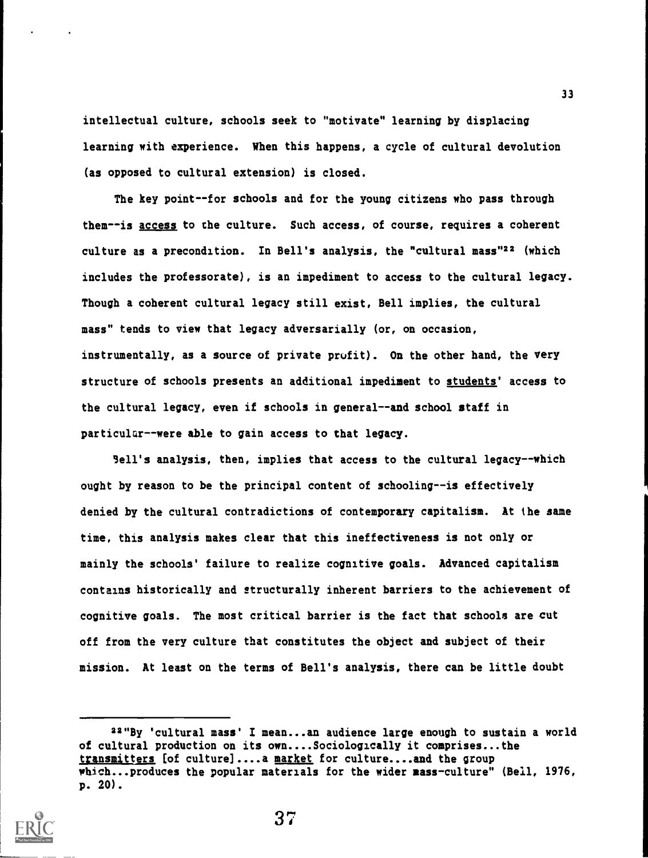intellectual culture, schools seek to "motivate" learning by displacing learning with experience. When this happens, a cycle of cultural devolution (as opposed to cultural extension) is closed.

The key point--for schools and for the young citizens who pass through them--is access to the culture. Such access, of course, requires a coherent culture as a precondition. In Bell's analysis, the "cultural mass"22 (which includes the professorate), is an impediment to access to the cultural legacy. Though a coherent cultural legacy still exist, Bell implies, the cultural mass" tends to view that legacy adversarially (or, on occasion, instrumentally, as a source of private profit). On the other hand, the very structure of schools presents an additional impediment to students' access to the cultural legacy, even if schools in general--and school staff in particular--were able to gain access to that legacy.

Sell's analysis, then, implies that access to the cultural legacy--which ought by reason to be the principal content of schooling--is effectively denied by the cultural contradictions of contemporary capitalism. At the same time, this analysis makes clear that this ineffectiveness is not only or mainly the schools' failure to realize cognitive goals. Advanced capitalism contains historically and structurally inherent barriers to the achievement of cognitive goals. The most critical barrier is the fact that schools are cut off from the very culture that constitutes the object and subject of their mission. At least on the terms of Bell's analysis, there can be little doubt

<sup>22&</sup>quot;By 'cultural mass' I mean...an audience large enough to sustain a world of cultural production on its own....Sociologically it comprises...the transmitters [of culture]....a market for culture....and the group which...produces the popular materials for the wider mass-culture" (Bell, 1976, p. 20).

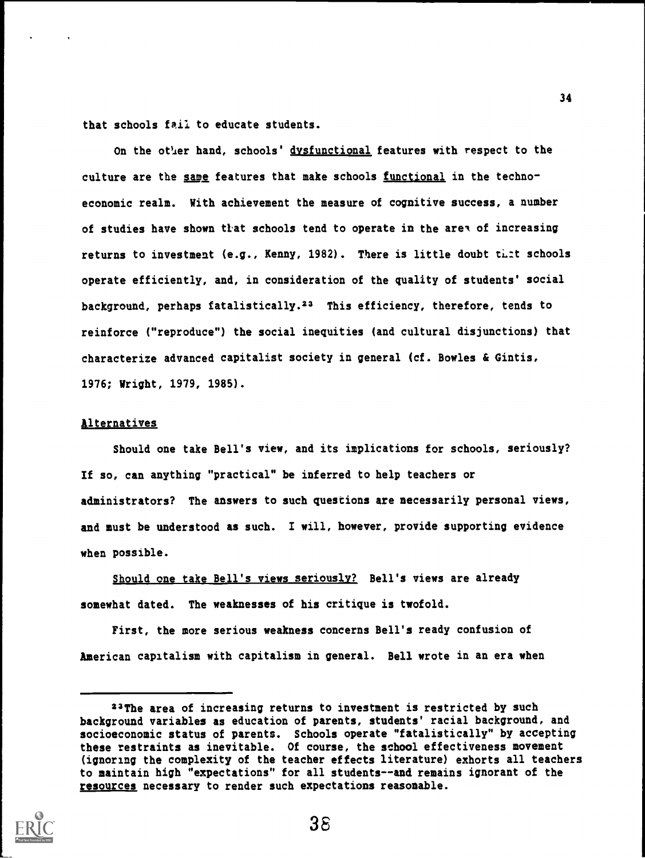that schools fail to educate students.

On the other hand, schools' dysfunctional features with respect to the culture are the same features that make schools functional in the technoeconomic realm. With achievement the measure of cognitive success, a number of studies have shown that schools tend to operate in the area of increasing returns to investment (e.g., Kenny, 1982). There is little doubt that schools operate efficiently, and, in consideration of the quality of students' social background, perhaps fatalistically.23 This efficiency, therefore, tends to reinforce ("reproduce") the social inequities (and cultural disjunctions) that characterize advanced capitalist society in general (cf. Bowles & Gintis, 1976; Wright, 1979, 1985).

#### **Alternatives**

Should one take Bell's view, and its implications for schools, seriously? If so, can anything "practical" be inferred to help teachers or administrators? The answers to such questions are necessarily personal views, and must be understood as such. I will, however, provide supporting evidence when possible.

Should one take Bell's views seriously? Bell's views are already somewhat dated. The weaknesses of his critique is twofold.

First, the more serious weakness concerns Bell's ready confusion of American capitalism with capitalism in general. Bell wrote in an era when

<sup>23</sup>The area of increasing returns to investment is restricted by such background variables as education of parents, students' racial background, and socioeconomic status of parents. Schools operate "fatalistically" by accepting these restraints as inevitable. Of course, the school effectiveness movement (ignoring the complexity of the teacher effects literature) exhorts all teachers to maintain high "expectations" for all students--and remains ignorant of the resources necessary to render such expectations reasonable.

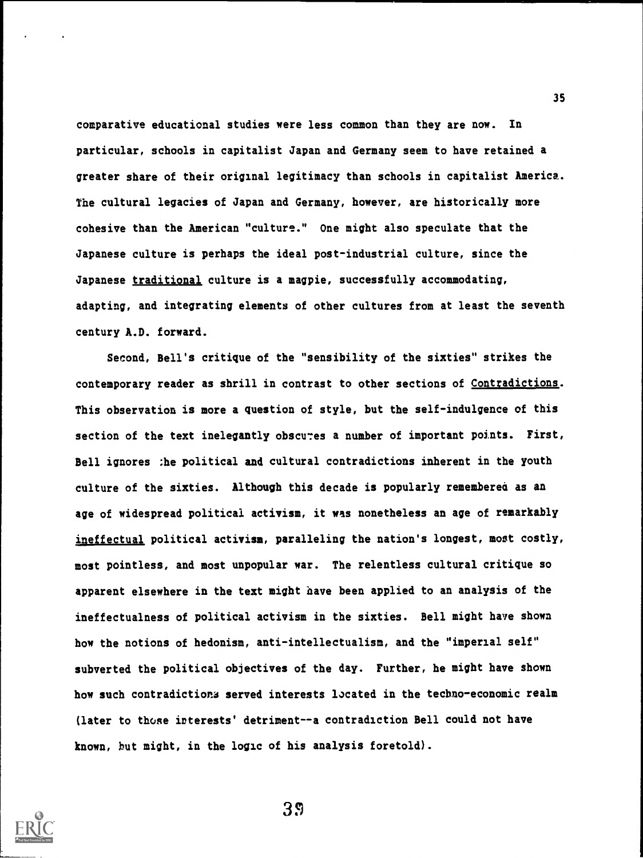comparative educational studies were less common than they are now. In particular, schools in capitalist Japan and Germany seem to have retained a greater share of their original legitimacy than schools in capitalist America. The cultural legacies of Japan and Germany, however, are historically more cohesive than the American "culture." One might also speculate that the Japanese culture is perhaps the ideal post-industrial culture, since the Japanese traditional culture is a magpie, successfully accommodating, adapting, and integrating elements of other cultures from at least the seventh century A.D. forward.

Second, Bell's critique of the "sensibility of the sixties" strikes the contemporary reader as shrill in contrast to other sections of Contradictions. This observation is more a question of style, but the self-indulgence of this section of the text inelegantly obscures a number of important points. First, Bell ignores ;he political and cultural contradictions inherent in the youth culture of the sixties. Although this decade is popularly remembered as an age of widespread political activism, it was nonetheless an age of remarkably ineffectual political activism, paralleling the nation's longest, most costly, most pointless, and most unpopular war. The relentless cultural critique so apparent elsewhere in the text might have been applied to an analysis of the ineffectualness of political activism in the sixties. Bell might have shown how the notions of hedonism, anti-intellectualism, and the "imperial self" subverted the political objectives of the day. Further, he might have shown how such contradictions served interests located in the techno-economic realm (later to those interests' detriment--a contradiction Bell could not have known, but might, in the logic of his analysis foretold).



3\$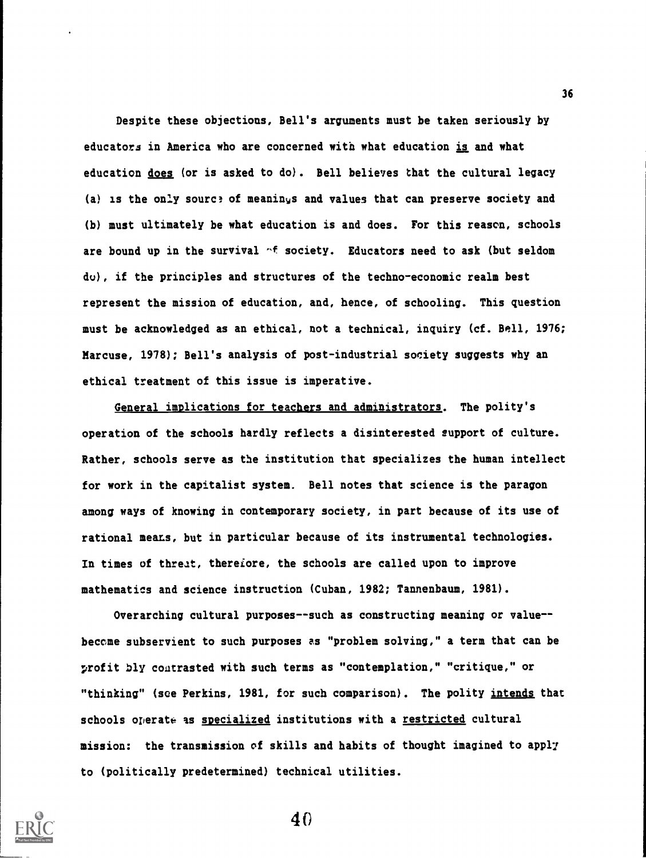Despite these objections, Bell's arguments must be taken seriously by educators in America who are concerned with what education is and what education does (or is asked to do). Bell believes that the cultural legacy (a) is the only source of meanings and values that can preserve society and (b) must ultimately be what education is and does. For this reason, schools are bound up in the survival  $\gamma f$  society. Educators need to ask (but seldom do), if the principles and structures of the techno-economic realm best represent the mission of education, and, hence, of schooling. This question must be acknowledged as an ethical, not a technical, inquiry (cf. Bell, 1976; Marcuse, 1978); Bell's analysis of post-industrial society suggests why an ethical treatment of this issue is imperative.

General implications for teachers and administrators. The polity's operation of the schools hardly reflects a disinterested support of culture. Rather, schools serve as the institution that specializes the human intellect for work in the capitalist system. Bell notes that science is the paragon among ways of knowing in contemporary society, in part because of its use of rational means, but in particular because of its instrumental technologies. In times of threat, therefore, the schools are called upon to improve mathematics and science instruction (Cuban, 1982; Tannenbaum, 1981).

Overarching cultural purposes--such as constructing meaning or value-became subservient to such purposes as "problem solving," a term that can be profit bly contrasted with such terms as "contemplation," "critique," or "thinking" (see Perkins, 1981, for such comparison). The polity intends that schools operate as specialized institutions with a restricted cultural mission: the transmission of skills and habits of thought imagined to appl7 to (politically predetermined) technical utilities.

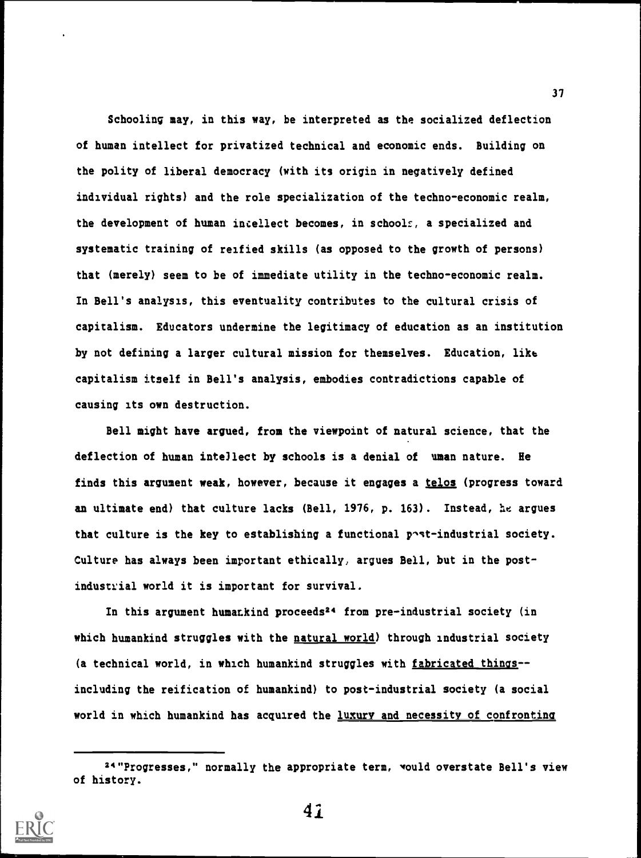Schooling may, in this way, be interpreted as the socialized deflection of human intellect for privatized technical and economic ends. Building on the polity of liberal democracy (with its origin in negatively defined individual rights) and the role specialization of the techno-economic realm, the development of human intellect becomes, in schools, a specialized and systematic training of reified skills (as opposed to the growth of persons) that (merely) seem to be of immediate utility in the techno-economic realm. In Bell's analysis, this eventuality contributes to the cultural crisis of capitalism. Educators undermine the legitimacy of education as an institution by not defining a larger cultural mission for themselves. Education, like capitalism itself in Bell's analysis, embodies contradictions capable of causing its own destruction.

Bell might have argued, from the viewpoint of natural science, that the deflection of human intellect by schools is a denial of uman nature. Be finds this argument weak, however, because it engages a telos (progress toward an ultimate end) that culture lacks (Bell, 1976, p. 163). Instead, he argues that culture is the key to establishing a functional  $p \sim t$ -industrial society. Culture has always been important ethically, argues Bell, but in the postindustrial world it is important for survival.

In this argument humankind proceeds<sup>24</sup> from pre-industrial society (in which humankind struggles with the natural world) through industrial society (a technical world, in which humankind struggles with fabricated things- including the reification of humankind) to post-industrial society (a social world in which humankind has acquired the luxury and necessity of confronting

<sup>24&#</sup>x27;Progresses," normally the appropriate term, would overstate Bell's view of history.



41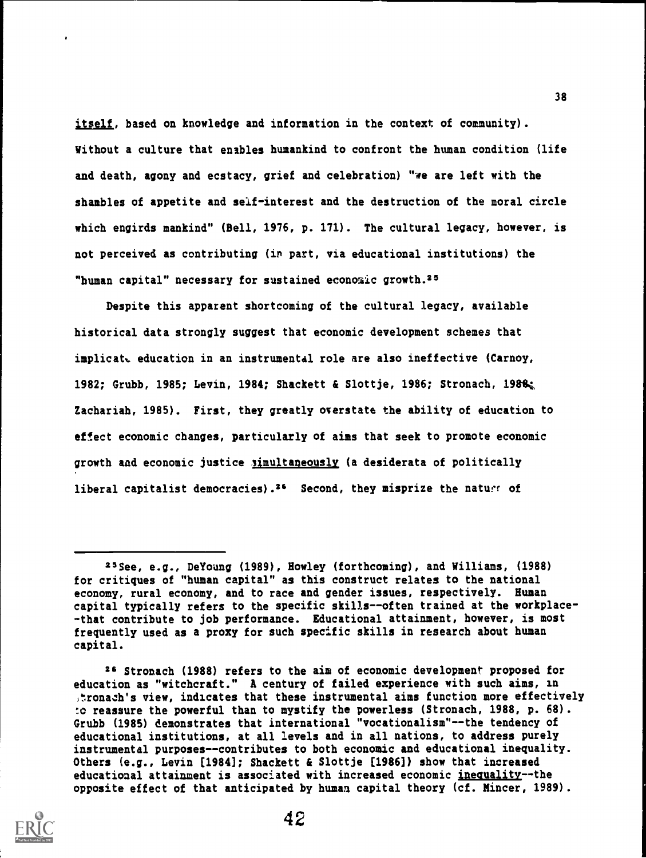itself, based on knowledge and information in the context of community). Without a culture that enables humankind to confront the human condition (life and death, agony and ecstacy, grief and celebration) "we are left with the shambles of appetite and self-interest and the destruction of the moral circle which engirds mankind" (Bell, 1976, p. 171). The cultural legacy, however, is not perceived as contributing (in part, via educational institutions) the "human capital" necessary for sustained economic growth.<sup>25</sup>

Despite this apparent shortcoming of the cultural legacy, available historical data strongly suggest that economic development schemes that implicatt education in an instrumental role are also ineffective (Carnoy, 1982; Grubb, 1985; Levin, 1984; Shackett & Slottje, 1986; Stronach, 1988, Zachariah, 1985). First, they greatly overstate the ability of education to effect economic changes, particularly of aims that seek to promote economic growth and economic justice simultaneously (a desiderata of politically liberal capitalist democracies).<sup>26</sup> Second, they misprize the nature of

ze Stronach (1988) refers to the aim of economic development proposed for education as "witchcraft." A century of failed experience with such aims, in ,tronach's view, indicates that these instrumental aims function more effectively :o reassure the powerful than to mystify the powerless (Stronach, 1988, p. 68). Grubb (1985) demonstrates that international "vocationalism"--the tendency of educational institutions, at all levels and in all nations, to address purely instrumental purposes--contributes to both economic and educational inequality. Others (e.g., Levin [1984]; Shackett & Slottje [1986]) show that increased educational attainment is associated with increased economic inequality--the opposite effect of that anticipated by human capital theory (cf. Mincer, 1989).



<sup>25</sup>See, e.g., DeYoung (1989), Howley (forthcoming), and Williams, (1988) for critiques of "human capital" as this construct relates to the national economy, rural economy, and to race and gender issues, respectively. Human capital typically refers to the specific skills--often trained at the workplace- -that contribute to job performance. Educational attainment, however, is most frequently used as a proxy for such specific skills in research about human capital.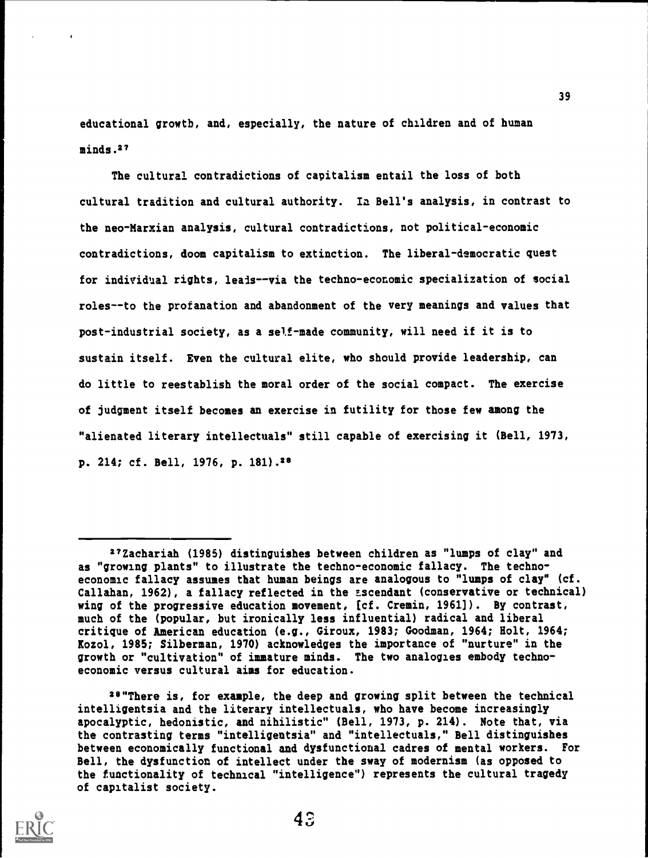educational growth, and, especially, the nature of children and of human minds.27

The cultural contradictions of capitalism entail the loss of both cultural tradition and cultural authority. In Bell's analysis, in contrast to the neo-Marxian analysis, cultural contradictions, not political-economic contradictions, doom capitalism to extinction. The liberal-democratic quest for individual rights, leads--via the techno-economic specialization of social roles--to the profanation and abandonment of the very meanings and values that post-industrial society, as a self-made community, will need if it is to sustain itself. Even the cultural elite, who should provide leadership, can do little to reestablish the moral order of the social compact. The exercise of judgment itself becomes an exercise in futility for those few among the "alienated literary intellectuals" still capable of exercising it (Bell, 1973, p. 214; cf. Bell, 1976, p. 181).28

<sup>28&</sup>quot;There is, for example, the deep and growing split between the technical intelligentsia and the literary intellectuals, who have become increasingly apocalyptic, hedonistic, and nihilistic" (Bell, 1973, p. 214). Note that, via the contrasting terms "intelligentsia" and "intellectuals," Bell distinguishes between economically functional and dysfunctional cadres of mental workers. For Bell, the dysfunction of intellect under the sway of modernism (as opposed to the functionality of technical "intelligence") represents the cultural tragedy of capitalist society.



<sup>27</sup>Zachariah (1985) distinguishes between children as "lumps of clay" and as "growing plants" to illustrate the techno-economic fallacy. The technoeconomic fallacy assumes that human beings are analogous to "lumps of clay" (cf. Callahan, 1962), a fallacy reflected in the ascendant (conservative or technical) wing of the progressive education movement, [cf. Cremin, 1961]). By contrast, much of the (popular, but ironically less influential) radical and liberal critique of American education (e.g., Giroux, 1983; Goodman, 1964; Holt, 1964; Kozol, 1985; Silberman, 1970) acknowledges the importance of "nurture" in the growth or "cultivation" of immature minds. The two analogies embody technoeconomic versus cultural aims for education.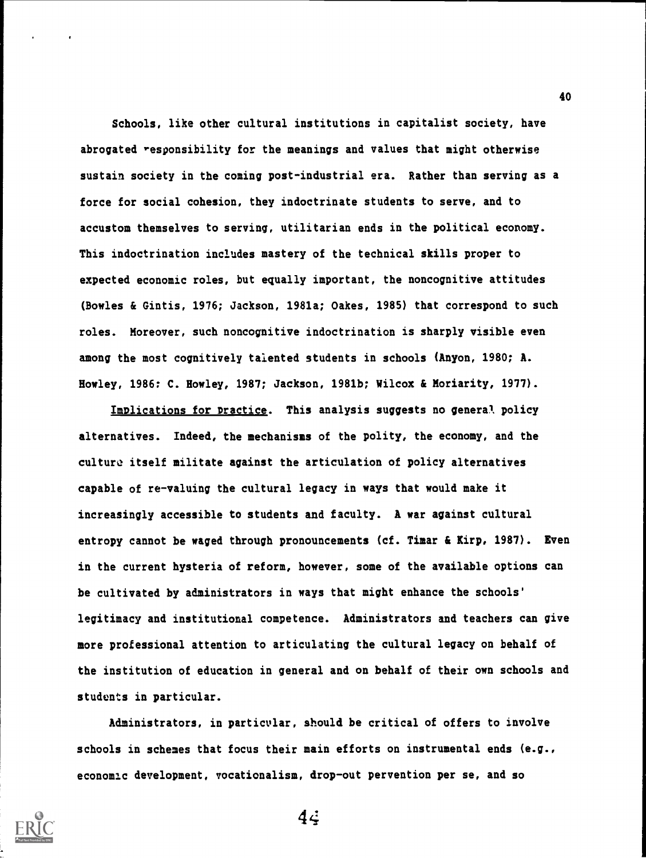Schools, like other cultural institutions in capitalist society, have abrogated responsibility for the meanings and values that might otherwise sustain society in the coming post-industrial era. Rather than serving as a force for social cohesion, they indoctrinate students to serve, and to accustom themselves to serving, utilitarian ends in the political economy. This indoctrination includes mastery of the technical skills proper to expected economic roles, but equally important, the noncognitive attitudes (Bowles & Gintis, 1976; Jackson, 1981a; Oakes, 1985) that correspond to such roles. Moreover, such noncognitive indoctrination is sharply visible even among the most cognitively talented students in schools (Anyon, 1980; A. Howley, 1986: C. Howley, 1987; Jackson, 1981b; Wilcox & Moriarity, 1977).

Implications for practice. This analysis suggests no general, policy alternatives. Indeed, the mechanisms of the polity, the economy, and the culture itself militate against the articulation of policy alternatives capable of re-valuing the cultural legacy in ways that would make it increasingly accessible to students and faculty. A war against cultural entropy cannot be waged through pronouncements (cf. Timar & Kirp, 1987). Even in the current hysteria of reform, however, some of the available options can be cultivated by administrators in ways that might enhance the schools' legitimacy and institutional competence. Administrators and teachers can give more professional attention to articulating the cultural legacy on behalf of the institution of education in general and on behalf of their own schools and students in particular.

Administrators, in particular, should be critical of offers to involve schools in schemes that focus their main efforts on instrumental ends (e.g., economic development, vocationalism, drop-out pervention per se, and so



 $4\ddot{$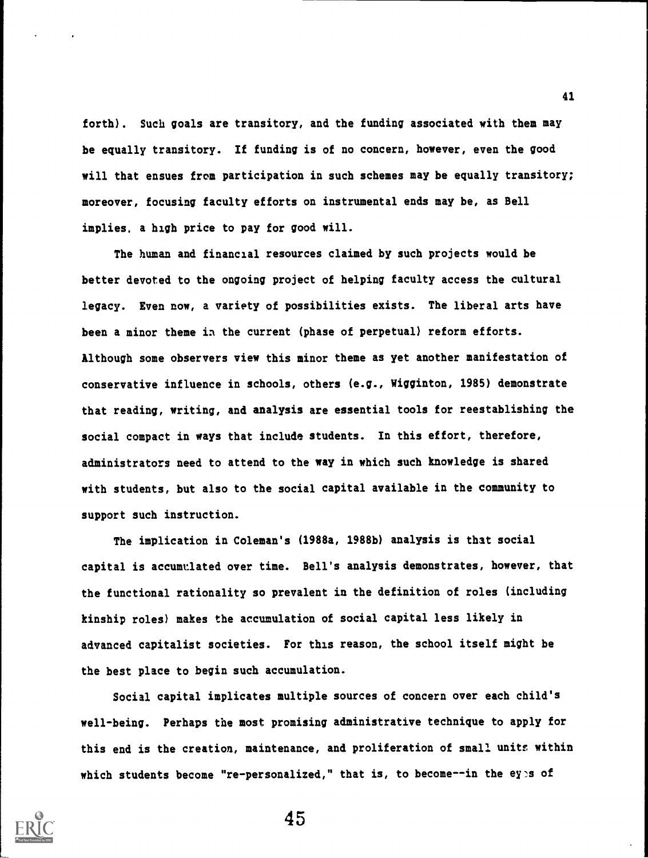forth). Such goals are transitory, and the funding associated with them may be equally transitory. If funding is of no concern, however, even the good will that ensues from participation in such schemes may be equally transitory; moreover, focusing faculty efforts on instrumental ends may be, as Bell implies, a high price to pay for good will.

The human and financial resources claimed by such projects would be better devoted to the ongoing project of helping faculty access the cultural legacy. Even now, a variety of possibilities exists. The liberal arts have been a minor theme in the current (phase of perpetual) reform efforts. Although some observers view this minor theme as yet another manifestation of conservative influence in schools, others (e.g., Wigginton, 1985) demonstrate that reading, writing, and analysis are essential tools for reestablishing the social compact in ways that include students. In this effort, therefore, administrators need to attend to the way in which such knowledge is shared with students, but also to the social capital available in the community to support such instruction.

The implication in Coleman's (1988a, 1988b) analysis is that social capital is accumulated over time. Bell's analysis demonstrates, however, that the functional rationality so prevalent in the definition of roles (including kinship roles) makes the accumulation of social capital less likely in advanced capitalist societies. For this reason, the school itself might be the best place to begin such accumulation.

Social capital implicates multiple sources of concern over each child's well-being. Perhaps the most promising administrative technique to apply for this end is the creation, maintenance, and proliferation of small units within which students become "re-personalized," that is, to become--in the eyes of



45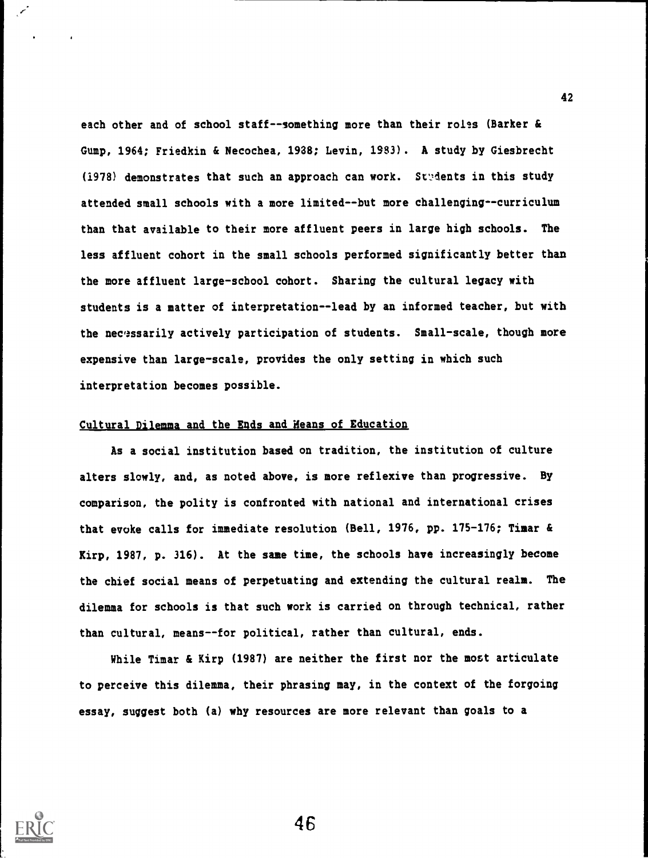each other and of school staff--something more than their roles (Barker & Gump, 1964; Friedkin & Necochea, 1938; Levin, 1983). A study by Giesbrecht  $(1978)$  demonstrates that such an approach can work. Students in this study attended small schools with a more limited--but more challenging--curriculum than that available to their more affluent peers in large high schools. The less affluent cohort in the small schools performed significantly better than the more affluent large-school cohort. Sharing the cultural legacy with students is a matter of interpretation--lead by an informed teacher, but with the necessarily actively participation of students. Small-scale, though more expensive than large-scale, provides the only setting in which such interpretation becomes possible.

## Cultural Dilemma and the Ends and Heans of Education

As a social institution based on tradition, the institution of culture alters slowly, and, as noted above, is more reflexive than progressive. By comparison, the polity is confronted with national and international crises that evoke calls for immediate resolution (Bell, 1976, pp. 175-176; Timar & Kirp, 1987, p. 316). At the sane time, the schools have increasingly become the chief social means of perpetuating and extending the cultural realm. The dilemma for schools is that such work is carried on through technical, rather than cultural, means--for political, rather than cultural, ends.

While Timar & Kirp (1987) are neither the first nor the most articulate to perceive this dilemma, their phrasing may, in the context of the forgoing essay, suggest both (a) why resources are more relevant than goals to a

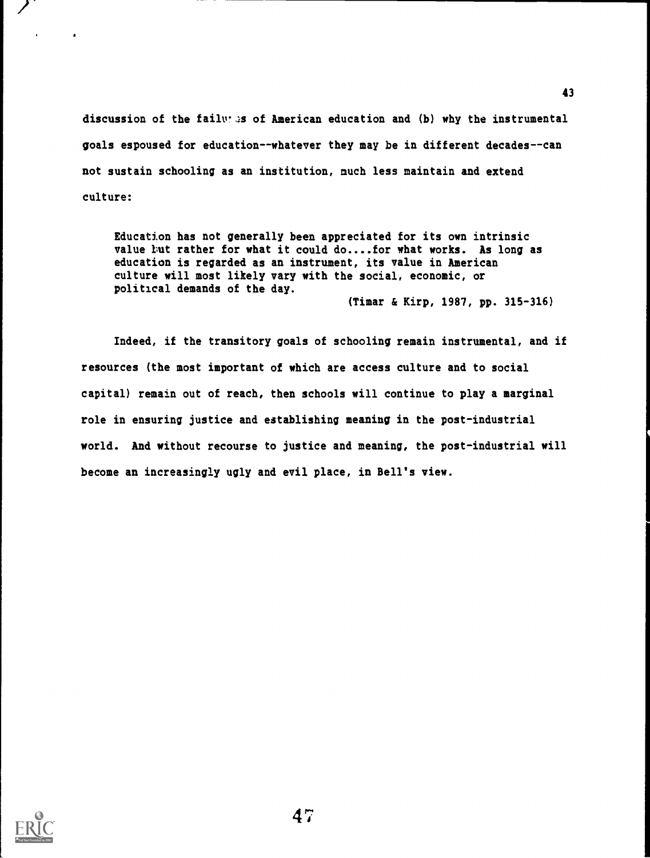discussion of the faily  $\mathcal{A}$  of American education and (b) why the instrumental goals espoused for education--whatever they may be in different decades--can not sustain schooling as an institution, much less maintain and extend culture:

Education has not generally been appreciated for its own intrinsic value tut rather for what it could do....for what works. As long as education is regarded as an instrument, its value in American culture will most likely vary with the social, economic, or political demands of the day. (Timer & Kirp, 1987, pp. 315-316)

Indeed, if the transitory goals of schooling remain instrumental, and if resources (the most important of which are access culture and to social capital) remain out of reach, then schools will continue to play a marginal role in ensuring justice and establishing meaning in the post-industrial world. And without recourse to justice and meaning, the post-industrial will become an increasingly ugly and evil place, in Bell's view.

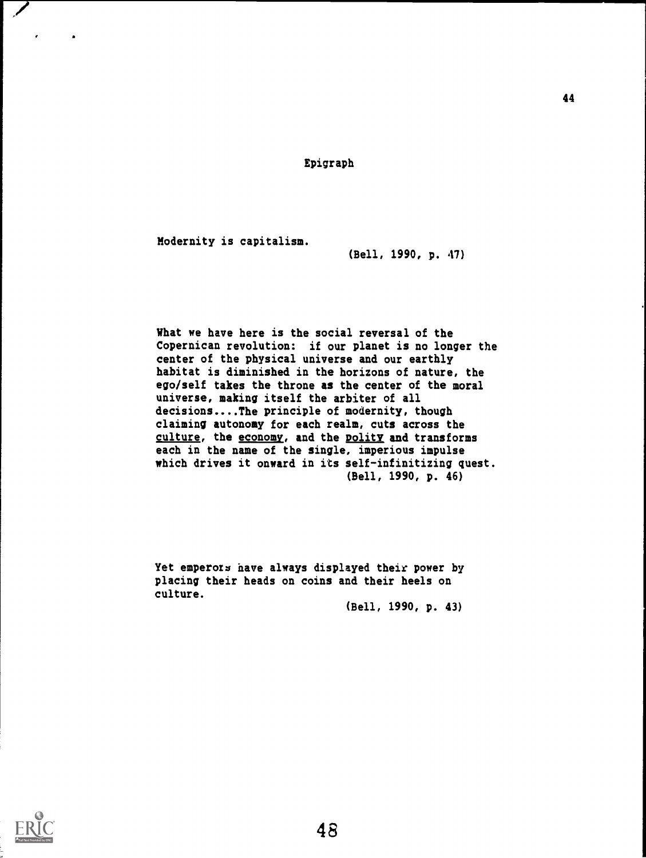Epigraph

Modernity is capitalism.

(Bell, 1990, p. 47)

What we have here is the social reversal of the Copernican revolution: if our planet is no longer the center of the physical universe and our earthly habitat is diminished in the horizons of nature, the ego/self takes the throne as the center of the moral universe, making itself the arbiter of all decisions....The principle of modernity, though claiming autonomy for each realm, cuts across the culture, the economy, and the polity and transforms each in the name of the single, imperious impulse which drives it onward in its self-infinitizing quest. (Bell, 1990, p. 46)

Yet emperors have always displayed their power by placing their heads on coins and their heels on culture.

(Bell, 1990, p. 43)

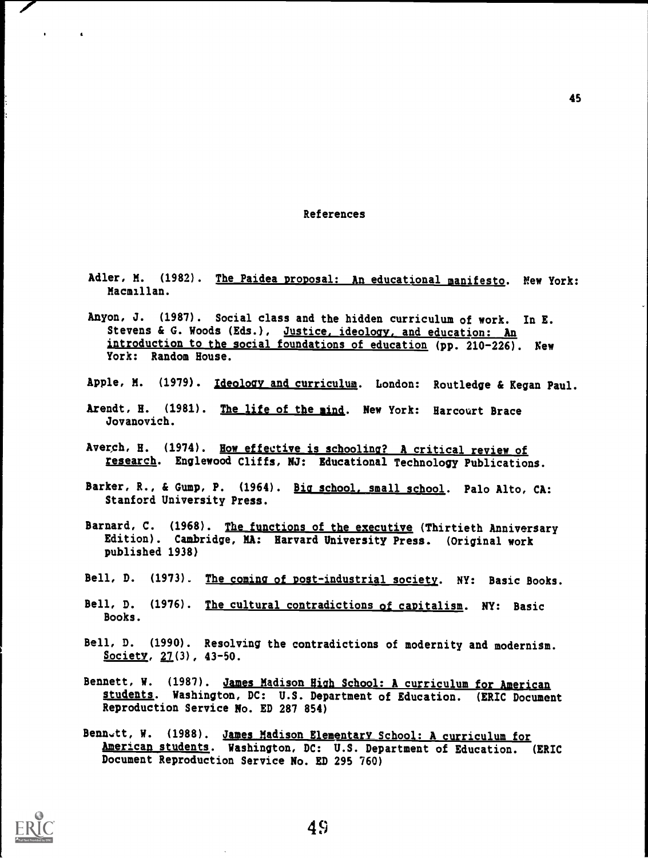#### References

- Adler, M. (1982). The Paidea proposal: An educational manifesto. New York: Macmillan.
- Anyon, J. (1987). Social class and the hidden curriculum of work. In E. Stevens & G. Woods (Eds.), Justice, ideology, and education: An introduction to the social foundations of education (pp. 210-226). New York: Random House.
- Apple, M. (1979). Ideology and curriculum. London: Routledge & Kegan Paul.
- Arendt, H. (1981). The life of the mind. New York: Harcourt Brace Jovanovich.
- Averch, H. (1974). How effective is schooling? A critical review of research. Englewood Cliffs, NJ: Educational Technology Publications.
- Barker, R., & Gump, P. (1964). Big school, small school. Palo Alto, CA: Stanford University Press.
- Barnard, C. (1968). The functions of the executive (Thirtieth Anniversary Edition). Cambridge, MA: Harvard University Press. (Original work published 1938)
- Bell, D. (1973). The coming of post-industrial society. NY: Basic Books.
- Bell, D. (1976). The cultural contradictions of capitalism. NY: Basic Books.
- Bell, D. (1990). Resolving the contradictions of modernity and modernism. Society,  $27(3)$ ,  $43-50$ .
- Bennett, W. (1987). James Madison High School: A curriculum for American students. Washington, DC: U.S. Department of Education. (ERIC Document Reproduction Service No. ED 287 854)
- Bennett, W. (1988). James Madison Elementary School: A curriculum for American students. Washington, DC: U.S. Department of Education. (ERIC Document Reproduction Service No. ED 295 760)



 $\mathbf{r}$ 

49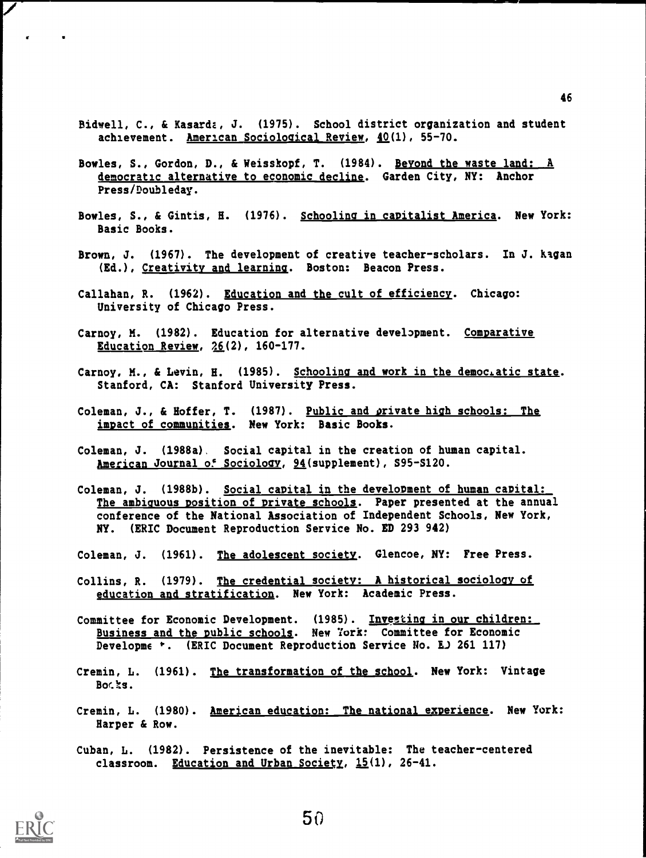- Bidwell, C., & Kasardz, J. (1975). School district organization and student achievement. American Sociological Review, 40(1), 55-70.
- Bowles, S., Gordon, D., & Weisskopf, T. (1984). Beyond the waste land: A democratic alternative to economic decline. Garden City, NY: Anchor Press/Doubleday.
- Bowles, S., & Gintis, H. (1976). Schooling in capitalist America. New York: Basic Books.
- Brown, J. (1967). The development of creative teacher-scholars. In J. Kagan (Ed.), Creativity and learning. Boston: Beacon Press.
- Callahan, R. (1962). <u>Education and the cult of efficiency</u>. Chicago: University of Chicago Press.
- Carnoy, M. (1982). Education for alternative development. <u>Comparative</u> Education Review,  $26(2)$ , 160-177.
- Carnoy, M., & Levin, H. (1985). Schooling and work in the democratic state. Stanford, CA: Stanford University Press.
- Coleman, J., & Hoffer, T. (1987). Public and private high schools: The impact of communities. New York: Basic Books.
- Coleman, J. (1988a). Social capital in the creation of human capital. American Journal of Sociology, 94(supplement), S95-S120.
- Coleman, J. (1988b). Social capital in the development of human capital: The ambiguous position of private schools. Paper presented at the annual conference of the National Association of Independent Schools, New York, NY. (ERIC Document Reproduction Service No. ED 293 942)
- Coleman, J. (1961). The adolescent society. Glencoe, NY: Free Press.
- Collins, R. (1979). The credential society: A historical sociology of education and stratification. New York: Academic Press.
- Committee for Economic Development. (1985). Investing in our children: Business and the public schools. New York: Committee for Economic Developme \*. (ERIC Document Reproduction Service No. E. 261 117)
- Cremin, L. (1961). The transformation of the school. New York: Vintage  $Boc$  $a$ .
- Cremin, L. (1980). American education: The national experience. New York: Harper & Row.
- Cuban, L. (1982). Persistence of the inevitable: The teacher-centered classroom. Education and Urban Society,  $15(1)$ , 26-41.

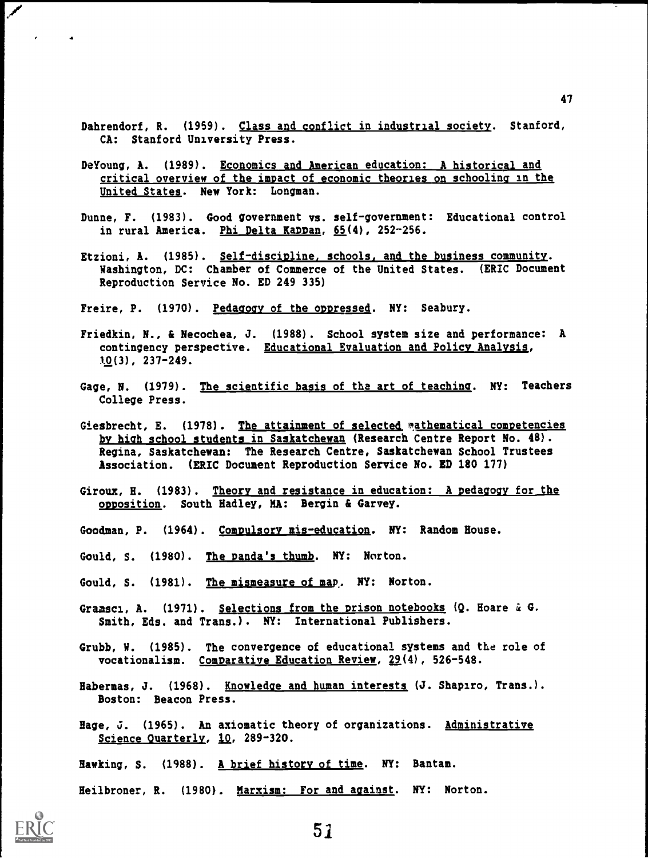- Dahrendorf, R. (1959). Class and conflict in industrial society. Stanford, CA: Stanford University Press.
- DeYoung, A. (1989). Economics and American education: A historical and critical overview of the impact of economic theories on schooling in the United States. New York: Longman.
- Dunne, F. (1983). Good government vs. self-government: Educational control in rural America. Phi Delta KaDDan, 65(4), 252-256.
- Etzioni, A. (1985). Self-discipline, schools, and the business community. Washington, DC: Chamber of Commerce of the United States. (ERIC Document Reproduction Service No. ED 249 335)

Freire, P. (1970). Pedagogy of the oppressed. NY: Seabury.

- Friedkin, N., & Necochea, J. (1988). School system size and performance: A contingency perspective. Educational Evaluation and Policy Analysis, t0(3), 237-249.
- Gage, N. (1979). The scientific basis of the art of teaching. NY: Teachers College Press.
- Giesbrecht, E. (1978). The attainment of selected mathematical competencies by high school students in Saskatchewan (Research Centre Report No. 48). Regina, Saskatchewan: The Research Centre, Saskatchewan School Trustees Association. (ERIC Document Reproduction Service No. ED 180 177)
- Giroux, H. (1983). Theory and resistance in education: A pedagogy for the opposition. South Hadley, MA: Bergin & Garvey.
- Goodman, P. (1964). Compulsory mis-education. NY: Random House.
- Gould, S. (1980). The panda's thumb. NY: Norton.
- Gould, S. (1981). The mismeasure of map. NY: Norton.
- Gramsci, A. (1971). Selections from the prison notebooks (Q. Hoare & G. Smith, Eds. and Trans.). NY: International Publishers.
- Grubb, W. (1985). The convergence of educational systems and the role of vocationalism. Comparative Education Review,  $29(4)$ , 526-548.
- Habermas, J. (1968). Knowledge and human interests (J. Shapiro, Trans.). Boston: Beacon Press.
- Hage, J. (1965). An axiomatic theory of organizations. Administrative Science Quarterly, 10, 289-320.

Hawking, S. (1988). A brief history of time. NY: Bantam.

Heilbroner, R. (1980). Marxism: For and against. NY: Norton.



ممر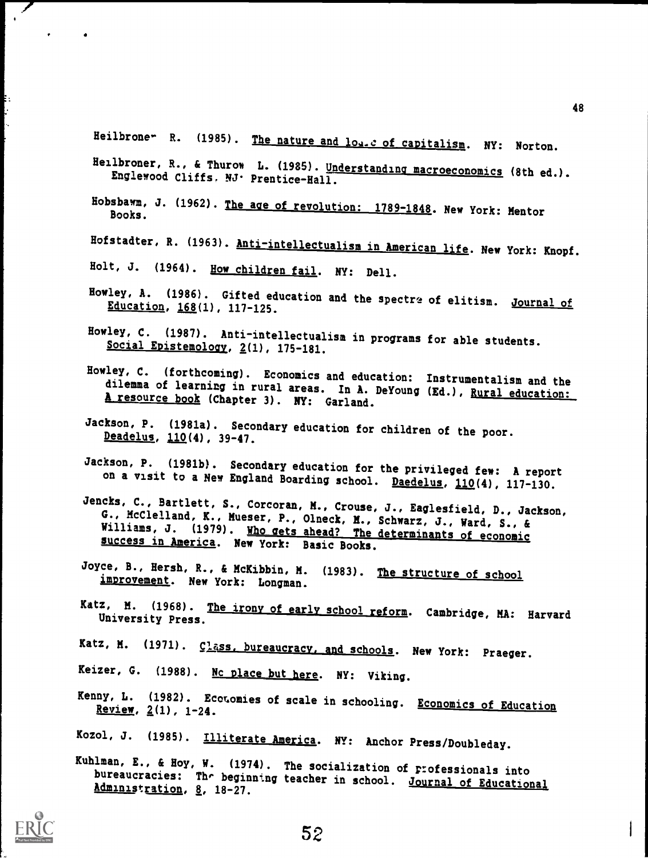Heilbrone- R. (1985). The nature and log.c of capitalism. NY: Norton.

- Heilbroner, R., & Thurow L. (1985). Understanding macroeconomics (8th ed.).<br>Englewood Cliffs. NJ· Prentice-Hall.
- Hobsbawm, J. (1962). The age of revolution: 1789-1848. New York: Mentor Books.
- Hofstadter, R. (1963). Anti-intellectualism in American life. New York: Knopf.
- Holt, J. (1964). How children fail. NY: Dell.
- Howley, A. (1986). Gifted education and the spectre of elitism. Journal of Education, 168(1), 117-125.
- Howley, C. (1987). Anti-intellectualism in programs for able students. Social Epistemology, 2(1), 175-181.
- Howley, C. (forthcoming). Economics and education: Instrumentalism and the dilemma of learning in rural areas. In A. DeYoung (Ed.), <u>Rural education:</u> A resource book (Chapter 3). NY: Garland.
- Jackson, P. (1981a). Secondary education for children of the poor.<br>Deadelus, 110(4), 39-47.
- Jackson, P. (1981b). Secondary education for the privileged few: A report on a visit to a New England Boarding school. Daedelus, 110(4), 117-130.
- Jencks, C., Bartlett, S., Corcoran, M., Crouse, J., Eaglesfield, D., Jackson, G., McClelland, K., Mueser, P., Olneck, M., Schwarz, J., Ward, S., & Williams, J. (1979). Who gets ahead? The determinants of economic success i
- Joyce, B., Hersh, R., & McKibbin, H. (1983). The structure of school improvement. New York: Longman.
- Katz, M. (1968). The irony of early school reform. Cambridge, MA: Harvard University Press.
- Katz, M. (1971). Class, bureaucracy, and schools. New York: Praeger.
- Keizer, G. (1988). No place but here. NY: Viking.
- Kenny, L. (1982). Economies of scale in schooling. Economics of Education<br>Review, 2(1), 1-24.
- Kozol, J. (1985). Illiterate America. NY: Anchor Press/Doubleday.
- Kuhlman, E., & Hoy, W. (1974). The socialization of professionals into bureaucracies: The beginning teacher in school. Journal of Educational Administration, 8, 18-27.



ŧ.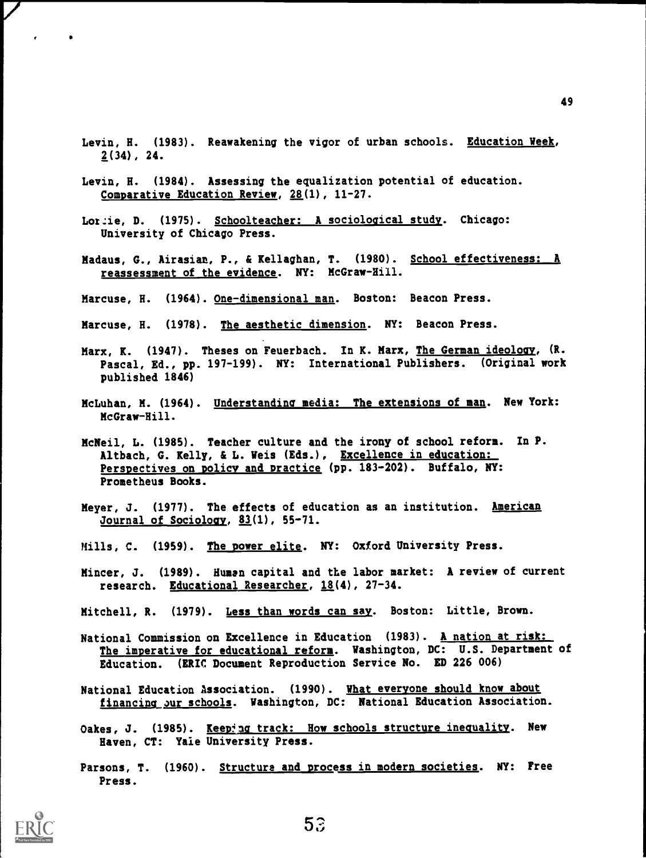- Levin, H. (1983). Reawakening the vigor of urban schools. Education Week, 2(34), 24.
- Levin, H. (1984). Assessing the equalization potential of education. Comparative Education Review, 28(1), 11-27.
- Lordie, D. (1975). Schoolteacher: A sociological study. Chicago: University of Chicago Press.
- Madaus, G., Airasian, P., & Kellaghan, T. (1980). School effectiveness: A reassessment of the evidence. NY: McGraw-Hill.
- Marcuse, H. (1964). One-dimensional man. Boston: Beacon Press.
- Marcuse, H. (1978). The aesthetic dimension. NY: Beacon Press.
- Marx, K. (1947). Theses on Feuerbach. In K. Marx, The German ideology, (R. Pascal, Ed., pp. 197-199). NY: International Publishers. (Original work published 1846)
- McLuhan, M. (1964). Understanding media: The extensions of man. New York: McGraw-Hill.
- McNeil, L. (1985). Teacher culture and the irony of school reform. In P. Altbach, G. Kelly, & L. Weis (Eds.), Excellence in education: Perspectives on policy and Dractice (pp. 183-202). Buffalo, NY: Prometheus Books.
- Meyer, J. (1977). The effects of education as an institution. American Journal of Sociology, 83(1), 55-71.
- Mills, C. (1959). The power elite. NY: Oxford University Press.
- Mincer, J. (1989). Human capital and the labor market: A review of current research. Educational Researcher, 18(4), 27-34.
- Mitchell, R. (1979). Less than words can say. Boston: Little, Brown.
- National Commission on Excellence in Education (1983). A nation at risk: The imperative for educational reform. Washington, DC: U.S. Department of Education. (ERIC Document Reproduction Service No. ED 226 006)
- National Education Association. (1990). What everyone should know about financing our schools. Washington, DC: National Education Association.
- Oakes, J. (1985). Keeping track: How schools structure inequality. New Haven, CT: Yale University Press.
- Parsons, T. (1960). Structure and process in modern societies. NY: Free Press.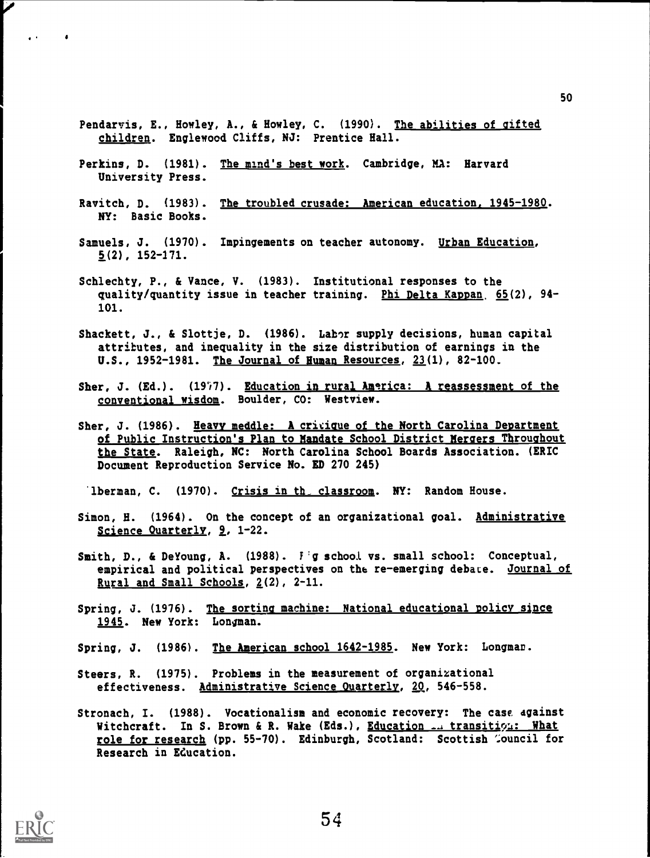- Pendarvis, E., Howley, A., & Howley, C. (1990). The abilities of gifted children. Englewood Cliffs, NJ: Prentice Hall.
- Perkins, D. (1981). The mind's best work. Cambridge, MA: Harvard University Press.
- Ravitch, D. (1983). The troubled crusade: American education. 1945-1980. NY: Basic Books.
- Samuels, J. (1970). Impingements on teacher autonomy. Urban Education,  $5(2)$ , 152-171.
- Schlechty, P., & Vance, V. (1983). Institutional responses to the quality/quantity issue in teacher training. Phi Delta Kappan 65(2), 94- 101.
- Shackett, J., & Slottje, D. (1986). Labor supply decisions, human capital attributes, and inequality in the size distribution of earnings in the U.S., 1952-1981. The Journal of Human Resources, 23(1), 82-100.
- Sher, J. (Ed.).  $(1977)$ . Education in rural America: A reassessment of the conventional wisdom. Boulder, CO: Westview.
- Sher, J. (1986). Heavy meddle: A critique of the North Carolina Department of Public Instruction's Plan to Mandate School District Mergers Throughout the State. Raleigh, NC: North Carolina School Boards Association. (ERIC Document Reproduction Service No. ED 270 245)

'lberman, C. (1970). Crisis in th\_ classroom. NY: Random House.

- Simon, H. (1964). On the concept of an organizational goal. Administrative Science Quarterly, 9, 1-22.
- Smith, D., & DeYoung, A. (1988).  $F$  g school vs. small school: Conceptual, empirical and political perspectives on the re-emerging debate. Journal of Rural and Small Schools, 2(2), 2-11.
- Spring, J. (1976). The sorting machine: National educational policy since 1945. New York: Longman.
- Spring, J. (1986). The American school 1642-1985. New York: Longman.
- Steers, R. (1975). Problems in the measurement of organizational effectiveness. Administrative Science Quarterly, 20, 546-558.
- Stronach, I. (1988). Vocationalism and economic recovery: The case, against Witchcraft. In S. Brown & R. Wake (Eds.), Education ... transition: What role for research (pp. 55-70). Edinburgh, Scotland: Scottish 'souncil for Research in Education.



 $\mathbf{r}$ 

 $\bullet$